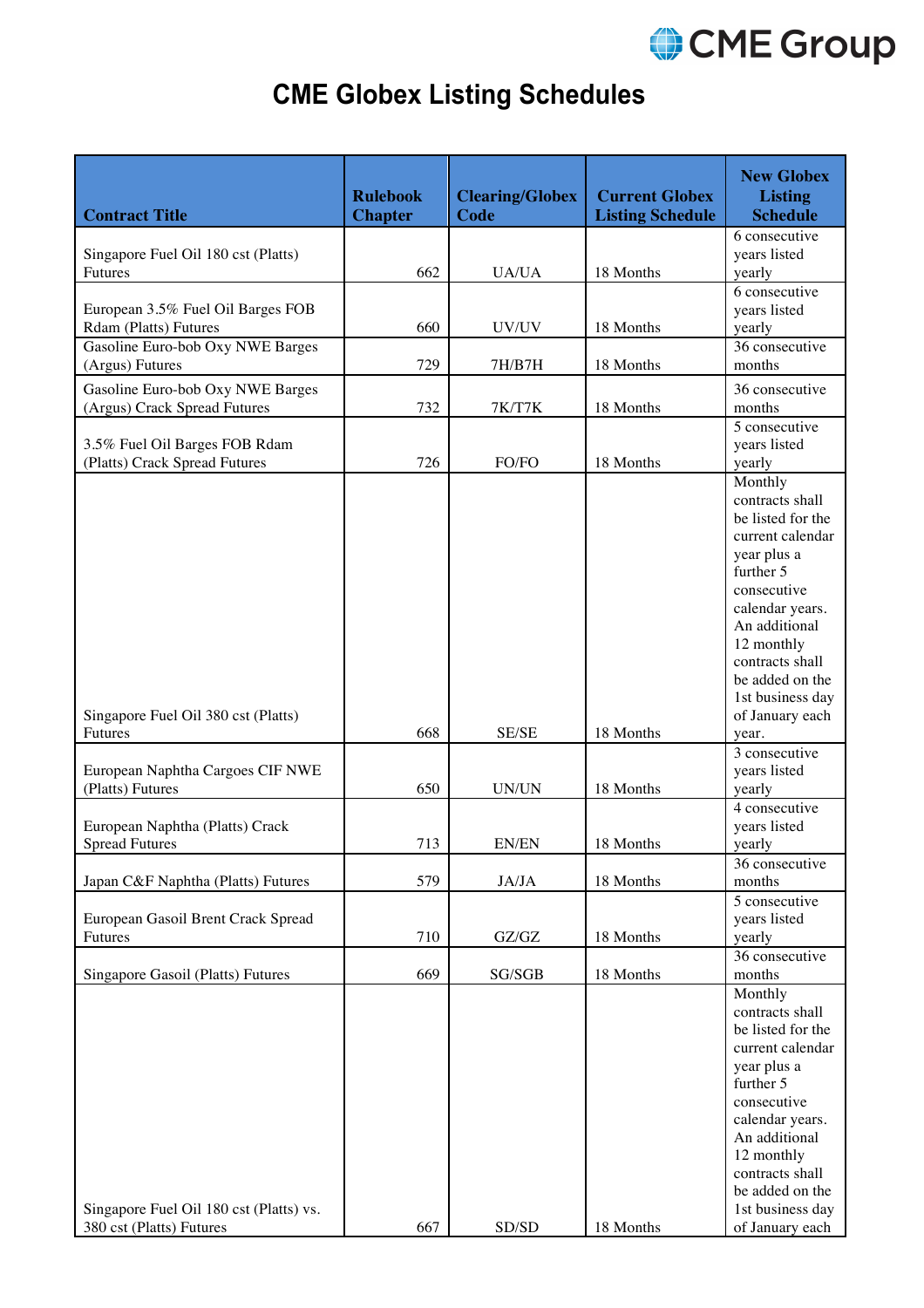

## **CME Globex Listing Schedules**

| <b>Contract Title</b>                                               | <b>Rulebook</b><br><b>Chapter</b> | <b>Clearing/Globex</b><br>Code | <b>Current Globex</b><br><b>Listing Schedule</b> | <b>New Globex</b><br><b>Listing</b><br><b>Schedule</b>                                                                                                                                                                                        |
|---------------------------------------------------------------------|-----------------------------------|--------------------------------|--------------------------------------------------|-----------------------------------------------------------------------------------------------------------------------------------------------------------------------------------------------------------------------------------------------|
| Singapore Fuel Oil 180 cst (Platts)<br>Futures                      | 662                               | <b>UA/UA</b>                   | 18 Months                                        | 6 consecutive<br>years listed<br>yearly                                                                                                                                                                                                       |
| European 3.5% Fuel Oil Barges FOB<br>Rdam (Platts) Futures          | 660                               | UV/UV                          | 18 Months                                        | 6 consecutive<br>years listed<br>yearly                                                                                                                                                                                                       |
| Gasoline Euro-bob Oxy NWE Barges<br>(Argus) Futures                 | 729                               | 7H/B7H                         | 18 Months                                        | 36 consecutive<br>months                                                                                                                                                                                                                      |
| Gasoline Euro-bob Oxy NWE Barges<br>(Argus) Crack Spread Futures    | 732                               | 7K/T7K                         | 18 Months                                        | 36 consecutive<br>months                                                                                                                                                                                                                      |
| 3.5% Fuel Oil Barges FOB Rdam<br>(Platts) Crack Spread Futures      | 726                               | FO/FO                          | 18 Months                                        | 5 consecutive<br>years listed<br>yearly                                                                                                                                                                                                       |
|                                                                     |                                   |                                |                                                  | Monthly<br>contracts shall<br>be listed for the<br>current calendar<br>year plus a<br>further 5<br>consecutive<br>calendar years.<br>An additional<br>12 monthly<br>contracts shall<br>be added on the                                        |
| Singapore Fuel Oil 380 cst (Platts)<br><b>Futures</b>               | 668                               | SE/SE                          | 18 Months                                        | 1st business day<br>of January each<br>year.                                                                                                                                                                                                  |
| European Naphtha Cargoes CIF NWE<br>(Platts) Futures                | 650                               | UN/UN                          | 18 Months                                        | 3 consecutive<br>years listed<br>yearly                                                                                                                                                                                                       |
| European Naphtha (Platts) Crack<br><b>Spread Futures</b>            | 713                               | EN/EN                          | 18 Months                                        | 4 consecutive<br>years listed<br>yearly                                                                                                                                                                                                       |
| Japan C&F Naphtha (Platts) Futures                                  | 579                               | JA/JA                          | 18 Months                                        | 36 consecutive<br>months                                                                                                                                                                                                                      |
| European Gasoil Brent Crack Spread<br>Futures                       | 710                               | GZ/GZ                          | 18 Months                                        | 5 consecutive<br>years listed<br>yearly                                                                                                                                                                                                       |
| Singapore Gasoil (Platts) Futures                                   | 669                               | SG/SGB                         | 18 Months                                        | 36 consecutive<br>months                                                                                                                                                                                                                      |
| Singapore Fuel Oil 180 cst (Platts) vs.<br>380 cst (Platts) Futures | 667                               | SD/SD                          | 18 Months                                        | Monthly<br>contracts shall<br>be listed for the<br>current calendar<br>year plus a<br>further 5<br>consecutive<br>calendar years.<br>An additional<br>12 monthly<br>contracts shall<br>be added on the<br>1st business day<br>of January each |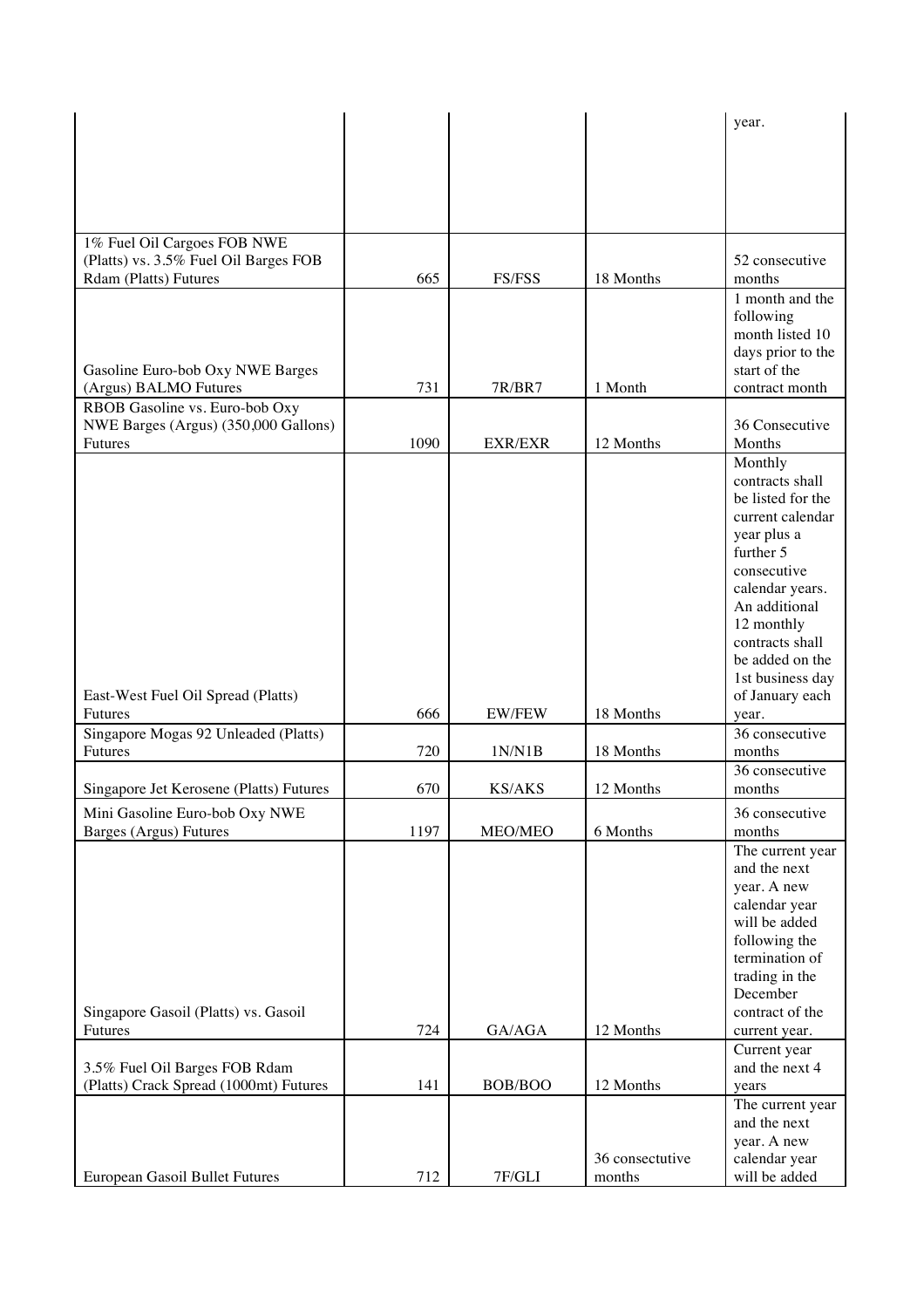|                                                          |      |                |                 | year.                            |
|----------------------------------------------------------|------|----------------|-----------------|----------------------------------|
|                                                          |      |                |                 |                                  |
|                                                          |      |                |                 |                                  |
|                                                          |      |                |                 |                                  |
|                                                          |      |                |                 |                                  |
|                                                          |      |                |                 |                                  |
| 1% Fuel Oil Cargoes FOB NWE                              |      |                |                 |                                  |
| (Platts) vs. 3.5% Fuel Oil Barges FOB                    |      |                |                 | 52 consecutive                   |
| <b>Rdam (Platts) Futures</b>                             | 665  | FS/FSS         | 18 Months       | months                           |
|                                                          |      |                |                 | 1 month and the<br>following     |
|                                                          |      |                |                 | month listed 10                  |
|                                                          |      |                |                 | days prior to the                |
| Gasoline Euro-bob Oxy NWE Barges                         |      |                |                 | start of the                     |
| (Argus) BALMO Futures                                    | 731  | <b>7R/BR7</b>  | 1 Month         | contract month                   |
| RBOB Gasoline vs. Euro-bob Oxy                           |      |                |                 |                                  |
| NWE Barges (Argus) (350,000 Gallons)                     |      |                |                 | 36 Consecutive                   |
| Futures                                                  | 1090 | <b>EXR/EXR</b> | 12 Months       | Months                           |
|                                                          |      |                |                 | Monthly<br>contracts shall       |
|                                                          |      |                |                 | be listed for the                |
|                                                          |      |                |                 | current calendar                 |
|                                                          |      |                |                 | year plus a                      |
|                                                          |      |                |                 | further 5                        |
|                                                          |      |                |                 | consecutive                      |
|                                                          |      |                |                 | calendar years.<br>An additional |
|                                                          |      |                |                 | 12 monthly                       |
|                                                          |      |                |                 | contracts shall                  |
|                                                          |      |                |                 | be added on the                  |
|                                                          |      |                |                 | 1st business day                 |
| East-West Fuel Oil Spread (Platts)                       |      |                |                 | of January each                  |
| <b>Futures</b>                                           | 666  | <b>EW/FEW</b>  | 18 Months       | year.                            |
| Singapore Mogas 92 Unleaded (Platts)                     | 720  |                | 18 Months       | 36 consecutive<br>months         |
| <b>Futures</b>                                           |      | 1N/N1B         |                 | 36 consecutive                   |
| Singapore Jet Kerosene (Platts) Futures                  | 670  | <b>KS/AKS</b>  | 12 Months       | months                           |
|                                                          |      |                |                 |                                  |
| Mini Gasoline Euro-bob Oxy NWE<br>Barges (Argus) Futures | 1197 | MEO/MEO        | 6 Months        | 36 consecutive<br>months         |
|                                                          |      |                |                 | The current year                 |
|                                                          |      |                |                 | and the next                     |
|                                                          |      |                |                 | year. A new                      |
|                                                          |      |                |                 | calendar year                    |
|                                                          |      |                |                 | will be added                    |
|                                                          |      |                |                 | following the                    |
|                                                          |      |                |                 | termination of<br>trading in the |
|                                                          |      |                |                 | December                         |
| Singapore Gasoil (Platts) vs. Gasoil                     |      |                |                 | contract of the                  |
| <b>Futures</b>                                           | 724  | GA/AGA         | 12 Months       | current year.                    |
|                                                          |      |                |                 | Current year                     |
| 3.5% Fuel Oil Barges FOB Rdam                            |      |                |                 | and the next 4                   |
| (Platts) Crack Spread (1000mt) Futures                   | 141  | BOB/BOO        | 12 Months       | years                            |
|                                                          |      |                |                 | The current year<br>and the next |
|                                                          |      |                |                 | year. A new                      |
|                                                          |      |                | 36 consectutive | calendar year                    |
| European Gasoil Bullet Futures                           | 712  | 7F/GLI         | months          | will be added                    |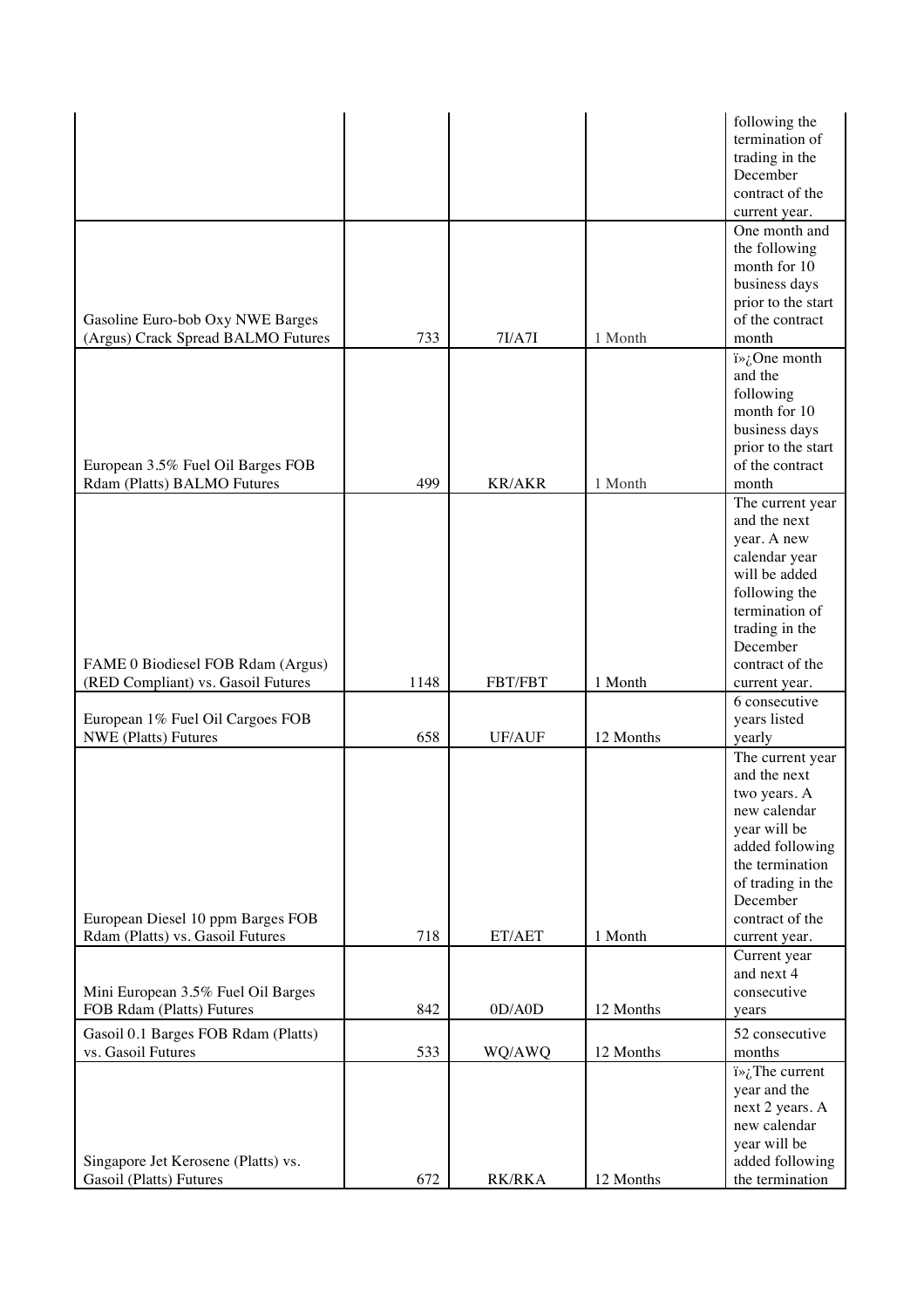|                                                                 |      |               |           | following the<br>termination of<br>trading in the<br>December<br>contract of the |
|-----------------------------------------------------------------|------|---------------|-----------|----------------------------------------------------------------------------------|
|                                                                 |      |               |           | current year.                                                                    |
|                                                                 |      |               |           | One month and                                                                    |
|                                                                 |      |               |           | the following                                                                    |
|                                                                 |      |               |           | month for 10                                                                     |
|                                                                 |      |               |           | business days                                                                    |
|                                                                 |      |               |           | prior to the start                                                               |
| Gasoline Euro-bob Oxy NWE Barges                                |      |               |           | of the contract                                                                  |
| (Argus) Crack Spread BALMO Futures                              | 733  | 7I/ATI        | 1 Month   | month                                                                            |
|                                                                 |      |               |           | $i\rightarrow i$ One month                                                       |
|                                                                 |      |               |           | and the                                                                          |
|                                                                 |      |               |           |                                                                                  |
|                                                                 |      |               |           | following<br>month for 10                                                        |
|                                                                 |      |               |           |                                                                                  |
|                                                                 |      |               |           | business days                                                                    |
|                                                                 |      |               |           | prior to the start                                                               |
| European 3.5% Fuel Oil Barges FOB                               |      |               |           | of the contract                                                                  |
| Rdam (Platts) BALMO Futures                                     | 499  | <b>KR/AKR</b> | 1 Month   | month                                                                            |
|                                                                 |      |               |           | The current year                                                                 |
|                                                                 |      |               |           | and the next                                                                     |
|                                                                 |      |               |           | year. A new                                                                      |
|                                                                 |      |               |           | calendar year                                                                    |
|                                                                 |      |               |           | will be added                                                                    |
|                                                                 |      |               |           | following the                                                                    |
|                                                                 |      |               |           | termination of                                                                   |
|                                                                 |      |               |           | trading in the                                                                   |
|                                                                 |      |               |           | December                                                                         |
| FAME 0 Biodiesel FOB Rdam (Argus)                               |      |               |           | contract of the                                                                  |
| (RED Compliant) vs. Gasoil Futures                              | 1148 | FBT/FBT       | 1 Month   | current year.                                                                    |
|                                                                 |      |               |           | 6 consecutive                                                                    |
| European 1% Fuel Oil Cargoes FOB                                |      |               |           | years listed                                                                     |
| <b>NWE</b> (Platts) Futures                                     | 658  | UF/AUF        | 12 Months | yearly                                                                           |
|                                                                 |      |               |           | The current year                                                                 |
|                                                                 |      |               |           | and the next                                                                     |
|                                                                 |      |               |           | two years. A                                                                     |
|                                                                 |      |               |           | new calendar                                                                     |
|                                                                 |      |               |           | year will be                                                                     |
|                                                                 |      |               |           | added following                                                                  |
|                                                                 |      |               |           | the termination                                                                  |
|                                                                 |      |               |           | of trading in the                                                                |
|                                                                 |      |               |           | December                                                                         |
| European Diesel 10 ppm Barges FOB                               |      |               |           | contract of the                                                                  |
| Rdam (Platts) vs. Gasoil Futures                                | 718  | ET/AET        | 1 Month   | current year.                                                                    |
|                                                                 |      |               |           |                                                                                  |
|                                                                 |      |               |           | Current year<br>and next 4                                                       |
|                                                                 |      |               |           | consecutive                                                                      |
| Mini European 3.5% Fuel Oil Barges<br>FOB Rdam (Platts) Futures | 842  | OD/ AOD       | 12 Months |                                                                                  |
|                                                                 |      |               |           | years                                                                            |
| Gasoil 0.1 Barges FOB Rdam (Platts)                             |      |               |           | 52 consecutive                                                                   |
| vs. Gasoil Futures                                              | 533  | WQ/AWQ        | 12 Months | months                                                                           |
|                                                                 |      |               |           | $i\rightarrow i$ . The current                                                   |
|                                                                 |      |               |           | year and the                                                                     |
|                                                                 |      |               |           | next 2 years. A                                                                  |
|                                                                 |      |               |           | new calendar                                                                     |
|                                                                 |      |               |           | year will be                                                                     |
| Singapore Jet Kerosene (Platts) vs.                             |      |               |           | added following                                                                  |
| Gasoil (Platts) Futures                                         | 672  | <b>RK/RKA</b> | 12 Months | the termination                                                                  |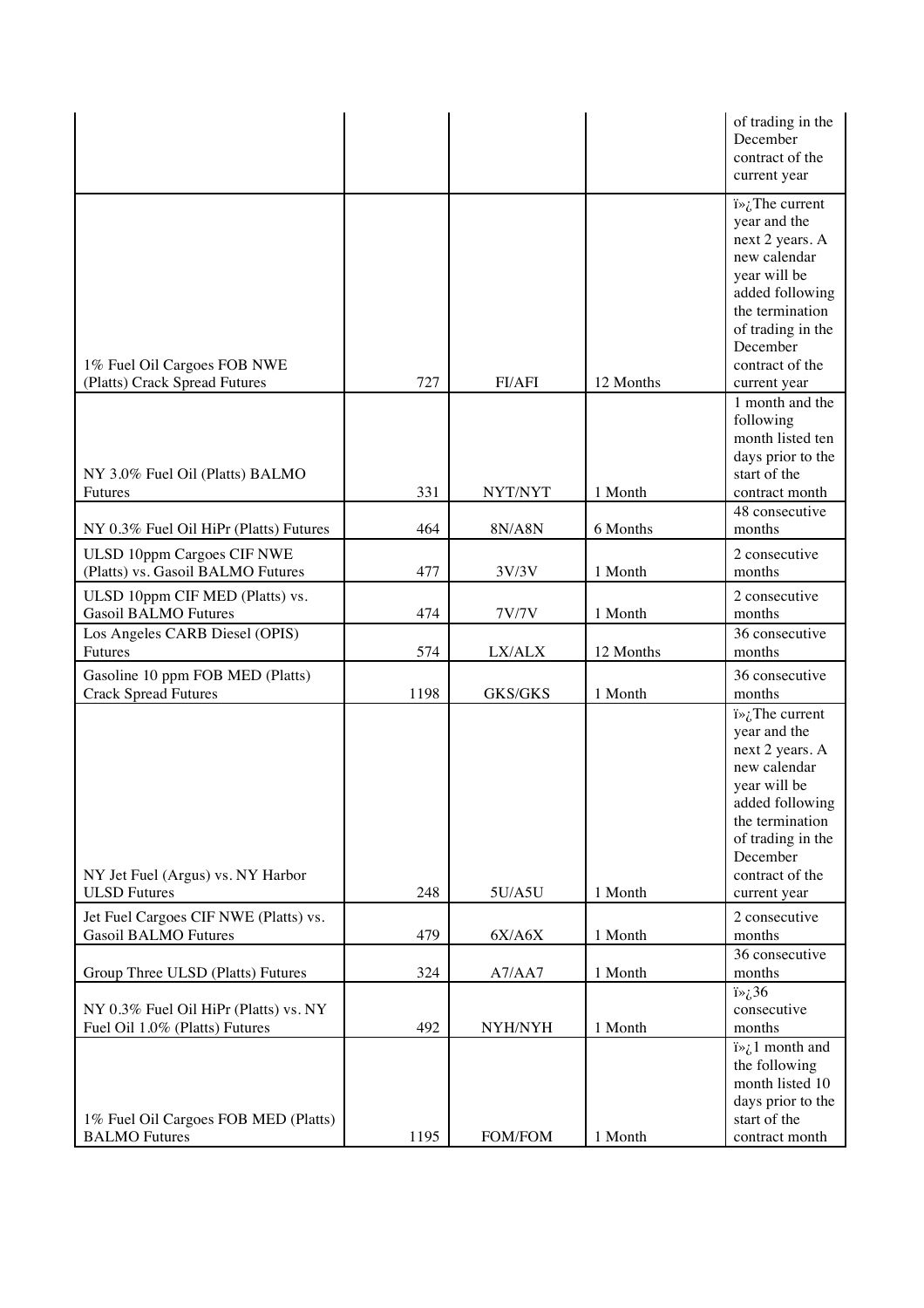|                                                                         |      |                |           | of trading in the<br>December<br>contract of the<br>current year                                                                                                                                            |
|-------------------------------------------------------------------------|------|----------------|-----------|-------------------------------------------------------------------------------------------------------------------------------------------------------------------------------------------------------------|
|                                                                         |      |                |           | $i\rightarrow i$ . The current<br>year and the<br>next 2 years. A<br>new calendar<br>year will be<br>added following<br>the termination<br>of trading in the<br>December                                    |
| 1% Fuel Oil Cargoes FOB NWE                                             |      |                |           | contract of the                                                                                                                                                                                             |
| (Platts) Crack Spread Futures                                           | 727  | FI/AFI         | 12 Months | current year<br>1 month and the<br>following<br>month listed ten<br>days prior to the<br>start of the                                                                                                       |
| NY 3.0% Fuel Oil (Platts) BALMO<br><b>Futures</b>                       | 331  | NYT/NYT        | 1 Month   | contract month                                                                                                                                                                                              |
| NY 0.3% Fuel Oil HiPr (Platts) Futures                                  | 464  | 8N/A8N         | 6 Months  | 48 consecutive<br>months                                                                                                                                                                                    |
| <b>ULSD 10ppm Cargoes CIF NWE</b>                                       |      |                |           | 2 consecutive                                                                                                                                                                                               |
| (Platts) vs. Gasoil BALMO Futures                                       | 477  | 3V/3V          | 1 Month   | months                                                                                                                                                                                                      |
| ULSD 10ppm CIF MED (Platts) vs.<br><b>Gasoil BALMO Futures</b>          | 474  | 7V/7V          | 1 Month   | 2 consecutive<br>months                                                                                                                                                                                     |
| Los Angeles CARB Diesel (OPIS)<br>Futures                               | 574  | LX/ALX         | 12 Months | 36 consecutive<br>months                                                                                                                                                                                    |
| Gasoline 10 ppm FOB MED (Platts)<br><b>Crack Spread Futures</b>         | 1198 | <b>GKS/GKS</b> | 1 Month   | 36 consecutive<br>months                                                                                                                                                                                    |
| NY Jet Fuel (Argus) vs. NY Harbor<br><b>ULSD</b> Futures                | 248  | 5U/A5U         | 1 Month   | $i\rightarrow j$ . The current<br>year and the<br>next 2 years. A<br>new calendar<br>year will be<br>added following<br>the termination<br>of trading in the<br>December<br>contract of the<br>current year |
| Jet Fuel Cargoes CIF NWE (Platts) vs.<br><b>Gasoil BALMO Futures</b>    | 479  | 6X/AGX         | 1 Month   | 2 consecutive<br>months                                                                                                                                                                                     |
| Group Three ULSD (Platts) Futures                                       | 324  | A7/AA7         | 1 Month   | 36 consecutive<br>months                                                                                                                                                                                    |
| NY 0.3% Fuel Oil HiPr (Platts) vs. NY<br>Fuel Oil 1.0% (Platts) Futures | 492  | NYH/NYH        | 1 Month   | $i\rightarrow \lambda$ 36<br>consecutive<br>months                                                                                                                                                          |
| 1% Fuel Oil Cargoes FOB MED (Platts)<br><b>BALMO</b> Futures            | 1195 | FOM/FOM        | 1 Month   | $i\rightarrow i$ month and<br>the following<br>month listed 10<br>days prior to the<br>start of the<br>contract month                                                                                       |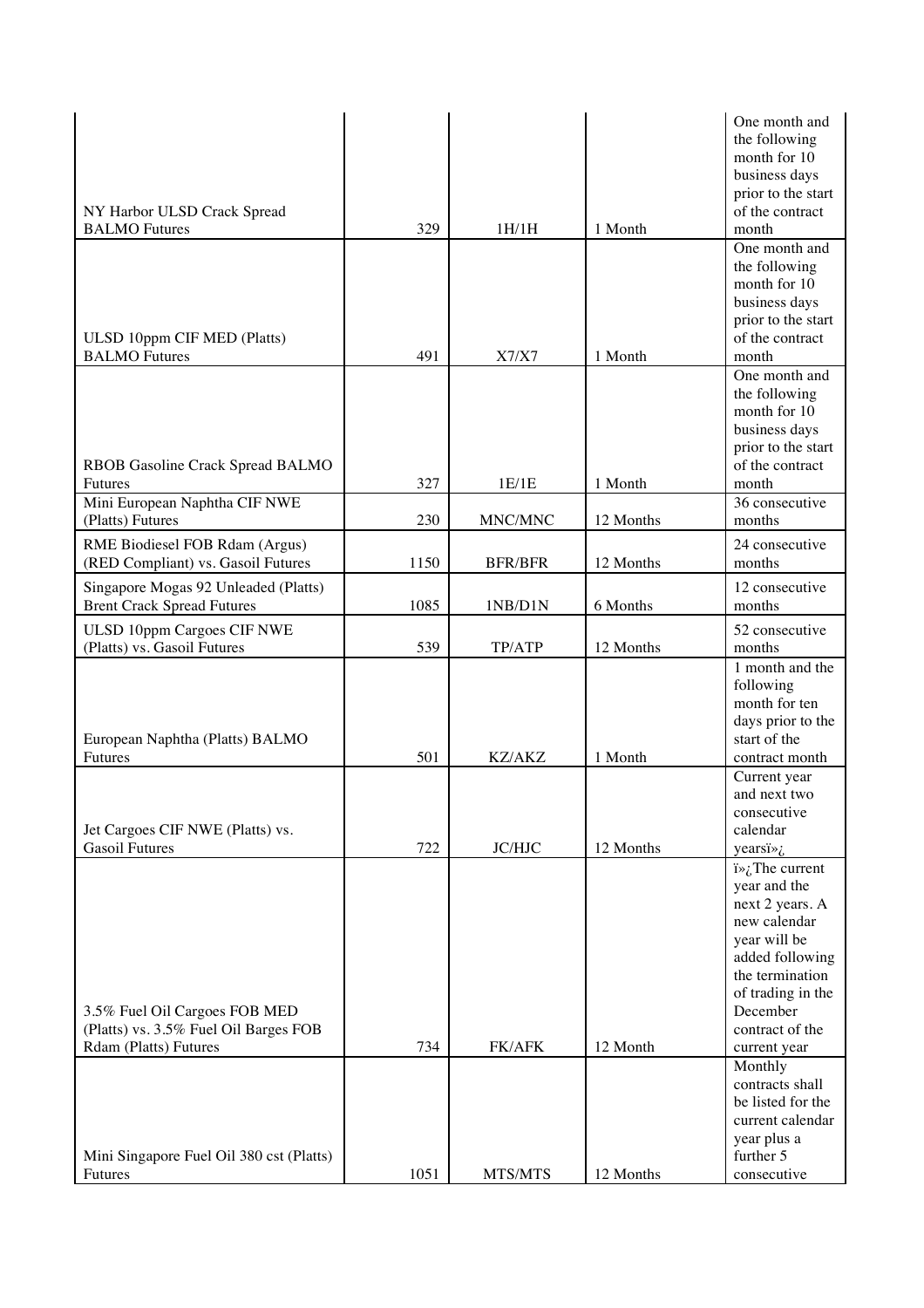| month for 10<br>business days<br>prior to the start<br>of the contract<br>NY Harbor ULSD Crack Spread<br><b>BALMO</b> Futures<br>329<br>1H/1H<br>1 Month<br>month<br>One month and<br>the following<br>month for 10<br>business days<br>prior to the start<br>of the contract<br>ULSD 10ppm CIF MED (Platts)<br><b>BALMO</b> Futures<br>491<br>X7/X7<br>1 Month<br>month<br>One month and<br>the following<br>month for 10<br>business days<br>prior to the start<br>of the contract<br>RBOB Gasoline Crack Spread BALMO<br>327<br>1 Month<br>1E/1E<br>month<br><b>Futures</b><br>Mini European Naphtha CIF NWE<br>36 consecutive<br>230<br>MNC/MNC<br>12 Months<br>(Platts) Futures<br>months<br>24 consecutive<br>RME Biodiesel FOB Rdam (Argus)<br>(RED Compliant) vs. Gasoil Futures<br>1150<br><b>BFR/BFR</b><br>12 Months<br>months<br>12 consecutive<br>Singapore Mogas 92 Unleaded (Platts)<br><b>Brent Crack Spread Futures</b><br>1085<br>6 Months<br>months<br>1NB/D1N<br><b>ULSD 10ppm Cargoes CIF NWE</b><br>52 consecutive<br>(Platts) vs. Gasoil Futures<br>539<br>TP/ATP<br>12 Months<br>months<br>1 month and the<br>following<br>month for ten<br>days prior to the<br>start of the<br>European Naphtha (Platts) BALMO<br>501<br>1 Month<br><b>Futures</b><br>KZ/AKZ<br>contract month<br>Current year<br>and next two<br>consecutive<br>Jet Cargoes CIF NWE (Platts) vs.<br>calendar<br><b>Gasoil Futures</b><br>722<br><b>JC/HJC</b><br>12 Months<br>yearsi $\frac{1}{6}$<br>$i\rightarrow i$ . The current<br>year and the<br>next 2 years. A<br>new calendar<br>year will be<br>added following<br>the termination<br>of trading in the<br>3.5% Fuel Oil Cargoes FOB MED<br>December<br>(Platts) vs. 3.5% Fuel Oil Barges FOB<br>contract of the<br>Rdam (Platts) Futures<br>734<br>FK/AFK<br>12 Month<br>current year<br>Monthly<br>contracts shall<br>be listed for the<br>current calendar<br>year plus a<br>further 5<br>Mini Singapore Fuel Oil 380 cst (Platts)<br>1051<br>MTS/MTS<br>12 Months<br>Futures<br>consecutive |  |  | One month and |
|-------------------------------------------------------------------------------------------------------------------------------------------------------------------------------------------------------------------------------------------------------------------------------------------------------------------------------------------------------------------------------------------------------------------------------------------------------------------------------------------------------------------------------------------------------------------------------------------------------------------------------------------------------------------------------------------------------------------------------------------------------------------------------------------------------------------------------------------------------------------------------------------------------------------------------------------------------------------------------------------------------------------------------------------------------------------------------------------------------------------------------------------------------------------------------------------------------------------------------------------------------------------------------------------------------------------------------------------------------------------------------------------------------------------------------------------------------------------------------------------------------------------------------------------------------------------------------------------------------------------------------------------------------------------------------------------------------------------------------------------------------------------------------------------------------------------------------------------------------------------------------------------------------------------------------------------------------------------------------------------------------------------------------------------------------|--|--|---------------|
|                                                                                                                                                                                                                                                                                                                                                                                                                                                                                                                                                                                                                                                                                                                                                                                                                                                                                                                                                                                                                                                                                                                                                                                                                                                                                                                                                                                                                                                                                                                                                                                                                                                                                                                                                                                                                                                                                                                                                                                                                                                       |  |  | the following |
|                                                                                                                                                                                                                                                                                                                                                                                                                                                                                                                                                                                                                                                                                                                                                                                                                                                                                                                                                                                                                                                                                                                                                                                                                                                                                                                                                                                                                                                                                                                                                                                                                                                                                                                                                                                                                                                                                                                                                                                                                                                       |  |  |               |
|                                                                                                                                                                                                                                                                                                                                                                                                                                                                                                                                                                                                                                                                                                                                                                                                                                                                                                                                                                                                                                                                                                                                                                                                                                                                                                                                                                                                                                                                                                                                                                                                                                                                                                                                                                                                                                                                                                                                                                                                                                                       |  |  |               |
|                                                                                                                                                                                                                                                                                                                                                                                                                                                                                                                                                                                                                                                                                                                                                                                                                                                                                                                                                                                                                                                                                                                                                                                                                                                                                                                                                                                                                                                                                                                                                                                                                                                                                                                                                                                                                                                                                                                                                                                                                                                       |  |  |               |
|                                                                                                                                                                                                                                                                                                                                                                                                                                                                                                                                                                                                                                                                                                                                                                                                                                                                                                                                                                                                                                                                                                                                                                                                                                                                                                                                                                                                                                                                                                                                                                                                                                                                                                                                                                                                                                                                                                                                                                                                                                                       |  |  |               |
|                                                                                                                                                                                                                                                                                                                                                                                                                                                                                                                                                                                                                                                                                                                                                                                                                                                                                                                                                                                                                                                                                                                                                                                                                                                                                                                                                                                                                                                                                                                                                                                                                                                                                                                                                                                                                                                                                                                                                                                                                                                       |  |  |               |
|                                                                                                                                                                                                                                                                                                                                                                                                                                                                                                                                                                                                                                                                                                                                                                                                                                                                                                                                                                                                                                                                                                                                                                                                                                                                                                                                                                                                                                                                                                                                                                                                                                                                                                                                                                                                                                                                                                                                                                                                                                                       |  |  |               |
|                                                                                                                                                                                                                                                                                                                                                                                                                                                                                                                                                                                                                                                                                                                                                                                                                                                                                                                                                                                                                                                                                                                                                                                                                                                                                                                                                                                                                                                                                                                                                                                                                                                                                                                                                                                                                                                                                                                                                                                                                                                       |  |  |               |
|                                                                                                                                                                                                                                                                                                                                                                                                                                                                                                                                                                                                                                                                                                                                                                                                                                                                                                                                                                                                                                                                                                                                                                                                                                                                                                                                                                                                                                                                                                                                                                                                                                                                                                                                                                                                                                                                                                                                                                                                                                                       |  |  |               |
|                                                                                                                                                                                                                                                                                                                                                                                                                                                                                                                                                                                                                                                                                                                                                                                                                                                                                                                                                                                                                                                                                                                                                                                                                                                                                                                                                                                                                                                                                                                                                                                                                                                                                                                                                                                                                                                                                                                                                                                                                                                       |  |  |               |
|                                                                                                                                                                                                                                                                                                                                                                                                                                                                                                                                                                                                                                                                                                                                                                                                                                                                                                                                                                                                                                                                                                                                                                                                                                                                                                                                                                                                                                                                                                                                                                                                                                                                                                                                                                                                                                                                                                                                                                                                                                                       |  |  |               |
|                                                                                                                                                                                                                                                                                                                                                                                                                                                                                                                                                                                                                                                                                                                                                                                                                                                                                                                                                                                                                                                                                                                                                                                                                                                                                                                                                                                                                                                                                                                                                                                                                                                                                                                                                                                                                                                                                                                                                                                                                                                       |  |  |               |
|                                                                                                                                                                                                                                                                                                                                                                                                                                                                                                                                                                                                                                                                                                                                                                                                                                                                                                                                                                                                                                                                                                                                                                                                                                                                                                                                                                                                                                                                                                                                                                                                                                                                                                                                                                                                                                                                                                                                                                                                                                                       |  |  |               |
|                                                                                                                                                                                                                                                                                                                                                                                                                                                                                                                                                                                                                                                                                                                                                                                                                                                                                                                                                                                                                                                                                                                                                                                                                                                                                                                                                                                                                                                                                                                                                                                                                                                                                                                                                                                                                                                                                                                                                                                                                                                       |  |  |               |
|                                                                                                                                                                                                                                                                                                                                                                                                                                                                                                                                                                                                                                                                                                                                                                                                                                                                                                                                                                                                                                                                                                                                                                                                                                                                                                                                                                                                                                                                                                                                                                                                                                                                                                                                                                                                                                                                                                                                                                                                                                                       |  |  |               |
|                                                                                                                                                                                                                                                                                                                                                                                                                                                                                                                                                                                                                                                                                                                                                                                                                                                                                                                                                                                                                                                                                                                                                                                                                                                                                                                                                                                                                                                                                                                                                                                                                                                                                                                                                                                                                                                                                                                                                                                                                                                       |  |  |               |
|                                                                                                                                                                                                                                                                                                                                                                                                                                                                                                                                                                                                                                                                                                                                                                                                                                                                                                                                                                                                                                                                                                                                                                                                                                                                                                                                                                                                                                                                                                                                                                                                                                                                                                                                                                                                                                                                                                                                                                                                                                                       |  |  |               |
|                                                                                                                                                                                                                                                                                                                                                                                                                                                                                                                                                                                                                                                                                                                                                                                                                                                                                                                                                                                                                                                                                                                                                                                                                                                                                                                                                                                                                                                                                                                                                                                                                                                                                                                                                                                                                                                                                                                                                                                                                                                       |  |  |               |
|                                                                                                                                                                                                                                                                                                                                                                                                                                                                                                                                                                                                                                                                                                                                                                                                                                                                                                                                                                                                                                                                                                                                                                                                                                                                                                                                                                                                                                                                                                                                                                                                                                                                                                                                                                                                                                                                                                                                                                                                                                                       |  |  |               |
|                                                                                                                                                                                                                                                                                                                                                                                                                                                                                                                                                                                                                                                                                                                                                                                                                                                                                                                                                                                                                                                                                                                                                                                                                                                                                                                                                                                                                                                                                                                                                                                                                                                                                                                                                                                                                                                                                                                                                                                                                                                       |  |  |               |
|                                                                                                                                                                                                                                                                                                                                                                                                                                                                                                                                                                                                                                                                                                                                                                                                                                                                                                                                                                                                                                                                                                                                                                                                                                                                                                                                                                                                                                                                                                                                                                                                                                                                                                                                                                                                                                                                                                                                                                                                                                                       |  |  |               |
|                                                                                                                                                                                                                                                                                                                                                                                                                                                                                                                                                                                                                                                                                                                                                                                                                                                                                                                                                                                                                                                                                                                                                                                                                                                                                                                                                                                                                                                                                                                                                                                                                                                                                                                                                                                                                                                                                                                                                                                                                                                       |  |  |               |
|                                                                                                                                                                                                                                                                                                                                                                                                                                                                                                                                                                                                                                                                                                                                                                                                                                                                                                                                                                                                                                                                                                                                                                                                                                                                                                                                                                                                                                                                                                                                                                                                                                                                                                                                                                                                                                                                                                                                                                                                                                                       |  |  |               |
|                                                                                                                                                                                                                                                                                                                                                                                                                                                                                                                                                                                                                                                                                                                                                                                                                                                                                                                                                                                                                                                                                                                                                                                                                                                                                                                                                                                                                                                                                                                                                                                                                                                                                                                                                                                                                                                                                                                                                                                                                                                       |  |  |               |
|                                                                                                                                                                                                                                                                                                                                                                                                                                                                                                                                                                                                                                                                                                                                                                                                                                                                                                                                                                                                                                                                                                                                                                                                                                                                                                                                                                                                                                                                                                                                                                                                                                                                                                                                                                                                                                                                                                                                                                                                                                                       |  |  |               |
|                                                                                                                                                                                                                                                                                                                                                                                                                                                                                                                                                                                                                                                                                                                                                                                                                                                                                                                                                                                                                                                                                                                                                                                                                                                                                                                                                                                                                                                                                                                                                                                                                                                                                                                                                                                                                                                                                                                                                                                                                                                       |  |  |               |
|                                                                                                                                                                                                                                                                                                                                                                                                                                                                                                                                                                                                                                                                                                                                                                                                                                                                                                                                                                                                                                                                                                                                                                                                                                                                                                                                                                                                                                                                                                                                                                                                                                                                                                                                                                                                                                                                                                                                                                                                                                                       |  |  |               |
|                                                                                                                                                                                                                                                                                                                                                                                                                                                                                                                                                                                                                                                                                                                                                                                                                                                                                                                                                                                                                                                                                                                                                                                                                                                                                                                                                                                                                                                                                                                                                                                                                                                                                                                                                                                                                                                                                                                                                                                                                                                       |  |  |               |
|                                                                                                                                                                                                                                                                                                                                                                                                                                                                                                                                                                                                                                                                                                                                                                                                                                                                                                                                                                                                                                                                                                                                                                                                                                                                                                                                                                                                                                                                                                                                                                                                                                                                                                                                                                                                                                                                                                                                                                                                                                                       |  |  |               |
|                                                                                                                                                                                                                                                                                                                                                                                                                                                                                                                                                                                                                                                                                                                                                                                                                                                                                                                                                                                                                                                                                                                                                                                                                                                                                                                                                                                                                                                                                                                                                                                                                                                                                                                                                                                                                                                                                                                                                                                                                                                       |  |  |               |
|                                                                                                                                                                                                                                                                                                                                                                                                                                                                                                                                                                                                                                                                                                                                                                                                                                                                                                                                                                                                                                                                                                                                                                                                                                                                                                                                                                                                                                                                                                                                                                                                                                                                                                                                                                                                                                                                                                                                                                                                                                                       |  |  |               |
|                                                                                                                                                                                                                                                                                                                                                                                                                                                                                                                                                                                                                                                                                                                                                                                                                                                                                                                                                                                                                                                                                                                                                                                                                                                                                                                                                                                                                                                                                                                                                                                                                                                                                                                                                                                                                                                                                                                                                                                                                                                       |  |  |               |
|                                                                                                                                                                                                                                                                                                                                                                                                                                                                                                                                                                                                                                                                                                                                                                                                                                                                                                                                                                                                                                                                                                                                                                                                                                                                                                                                                                                                                                                                                                                                                                                                                                                                                                                                                                                                                                                                                                                                                                                                                                                       |  |  |               |
|                                                                                                                                                                                                                                                                                                                                                                                                                                                                                                                                                                                                                                                                                                                                                                                                                                                                                                                                                                                                                                                                                                                                                                                                                                                                                                                                                                                                                                                                                                                                                                                                                                                                                                                                                                                                                                                                                                                                                                                                                                                       |  |  |               |
|                                                                                                                                                                                                                                                                                                                                                                                                                                                                                                                                                                                                                                                                                                                                                                                                                                                                                                                                                                                                                                                                                                                                                                                                                                                                                                                                                                                                                                                                                                                                                                                                                                                                                                                                                                                                                                                                                                                                                                                                                                                       |  |  |               |
|                                                                                                                                                                                                                                                                                                                                                                                                                                                                                                                                                                                                                                                                                                                                                                                                                                                                                                                                                                                                                                                                                                                                                                                                                                                                                                                                                                                                                                                                                                                                                                                                                                                                                                                                                                                                                                                                                                                                                                                                                                                       |  |  |               |
|                                                                                                                                                                                                                                                                                                                                                                                                                                                                                                                                                                                                                                                                                                                                                                                                                                                                                                                                                                                                                                                                                                                                                                                                                                                                                                                                                                                                                                                                                                                                                                                                                                                                                                                                                                                                                                                                                                                                                                                                                                                       |  |  |               |
|                                                                                                                                                                                                                                                                                                                                                                                                                                                                                                                                                                                                                                                                                                                                                                                                                                                                                                                                                                                                                                                                                                                                                                                                                                                                                                                                                                                                                                                                                                                                                                                                                                                                                                                                                                                                                                                                                                                                                                                                                                                       |  |  |               |
|                                                                                                                                                                                                                                                                                                                                                                                                                                                                                                                                                                                                                                                                                                                                                                                                                                                                                                                                                                                                                                                                                                                                                                                                                                                                                                                                                                                                                                                                                                                                                                                                                                                                                                                                                                                                                                                                                                                                                                                                                                                       |  |  |               |
|                                                                                                                                                                                                                                                                                                                                                                                                                                                                                                                                                                                                                                                                                                                                                                                                                                                                                                                                                                                                                                                                                                                                                                                                                                                                                                                                                                                                                                                                                                                                                                                                                                                                                                                                                                                                                                                                                                                                                                                                                                                       |  |  |               |
|                                                                                                                                                                                                                                                                                                                                                                                                                                                                                                                                                                                                                                                                                                                                                                                                                                                                                                                                                                                                                                                                                                                                                                                                                                                                                                                                                                                                                                                                                                                                                                                                                                                                                                                                                                                                                                                                                                                                                                                                                                                       |  |  |               |
|                                                                                                                                                                                                                                                                                                                                                                                                                                                                                                                                                                                                                                                                                                                                                                                                                                                                                                                                                                                                                                                                                                                                                                                                                                                                                                                                                                                                                                                                                                                                                                                                                                                                                                                                                                                                                                                                                                                                                                                                                                                       |  |  |               |
|                                                                                                                                                                                                                                                                                                                                                                                                                                                                                                                                                                                                                                                                                                                                                                                                                                                                                                                                                                                                                                                                                                                                                                                                                                                                                                                                                                                                                                                                                                                                                                                                                                                                                                                                                                                                                                                                                                                                                                                                                                                       |  |  |               |
|                                                                                                                                                                                                                                                                                                                                                                                                                                                                                                                                                                                                                                                                                                                                                                                                                                                                                                                                                                                                                                                                                                                                                                                                                                                                                                                                                                                                                                                                                                                                                                                                                                                                                                                                                                                                                                                                                                                                                                                                                                                       |  |  |               |
|                                                                                                                                                                                                                                                                                                                                                                                                                                                                                                                                                                                                                                                                                                                                                                                                                                                                                                                                                                                                                                                                                                                                                                                                                                                                                                                                                                                                                                                                                                                                                                                                                                                                                                                                                                                                                                                                                                                                                                                                                                                       |  |  |               |
|                                                                                                                                                                                                                                                                                                                                                                                                                                                                                                                                                                                                                                                                                                                                                                                                                                                                                                                                                                                                                                                                                                                                                                                                                                                                                                                                                                                                                                                                                                                                                                                                                                                                                                                                                                                                                                                                                                                                                                                                                                                       |  |  |               |
|                                                                                                                                                                                                                                                                                                                                                                                                                                                                                                                                                                                                                                                                                                                                                                                                                                                                                                                                                                                                                                                                                                                                                                                                                                                                                                                                                                                                                                                                                                                                                                                                                                                                                                                                                                                                                                                                                                                                                                                                                                                       |  |  |               |
|                                                                                                                                                                                                                                                                                                                                                                                                                                                                                                                                                                                                                                                                                                                                                                                                                                                                                                                                                                                                                                                                                                                                                                                                                                                                                                                                                                                                                                                                                                                                                                                                                                                                                                                                                                                                                                                                                                                                                                                                                                                       |  |  |               |
|                                                                                                                                                                                                                                                                                                                                                                                                                                                                                                                                                                                                                                                                                                                                                                                                                                                                                                                                                                                                                                                                                                                                                                                                                                                                                                                                                                                                                                                                                                                                                                                                                                                                                                                                                                                                                                                                                                                                                                                                                                                       |  |  |               |
|                                                                                                                                                                                                                                                                                                                                                                                                                                                                                                                                                                                                                                                                                                                                                                                                                                                                                                                                                                                                                                                                                                                                                                                                                                                                                                                                                                                                                                                                                                                                                                                                                                                                                                                                                                                                                                                                                                                                                                                                                                                       |  |  |               |
|                                                                                                                                                                                                                                                                                                                                                                                                                                                                                                                                                                                                                                                                                                                                                                                                                                                                                                                                                                                                                                                                                                                                                                                                                                                                                                                                                                                                                                                                                                                                                                                                                                                                                                                                                                                                                                                                                                                                                                                                                                                       |  |  |               |
|                                                                                                                                                                                                                                                                                                                                                                                                                                                                                                                                                                                                                                                                                                                                                                                                                                                                                                                                                                                                                                                                                                                                                                                                                                                                                                                                                                                                                                                                                                                                                                                                                                                                                                                                                                                                                                                                                                                                                                                                                                                       |  |  |               |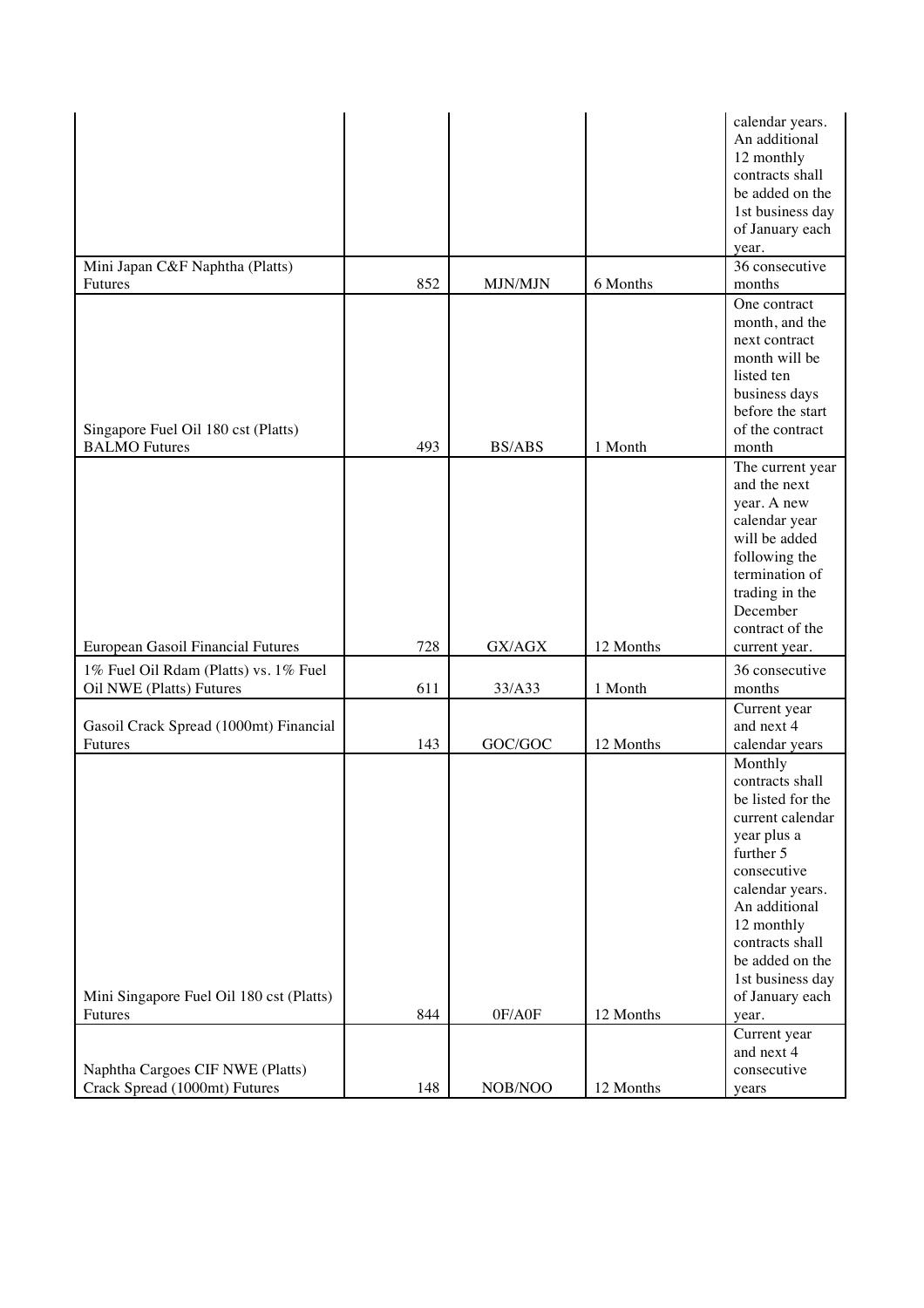|                                                                   |     |                |           | calendar years.<br>An additional<br>12 monthly<br>contracts shall<br>be added on the<br>1st business day<br>of January each<br>year.                                                                                                                   |
|-------------------------------------------------------------------|-----|----------------|-----------|--------------------------------------------------------------------------------------------------------------------------------------------------------------------------------------------------------------------------------------------------------|
| Mini Japan C&F Naphtha (Platts)                                   |     |                |           | 36 consecutive                                                                                                                                                                                                                                         |
| Futures                                                           | 852 | <b>MJN/MJN</b> | 6 Months  | months                                                                                                                                                                                                                                                 |
|                                                                   |     |                |           | One contract<br>month, and the<br>next contract<br>month will be<br>listed ten<br>business days<br>before the start                                                                                                                                    |
| Singapore Fuel Oil 180 cst (Platts)                               |     |                |           | of the contract                                                                                                                                                                                                                                        |
| <b>BALMO</b> Futures                                              | 493 | <b>BS/ABS</b>  | 1 Month   | month                                                                                                                                                                                                                                                  |
| European Gasoil Financial Futures                                 | 728 | GX/AGX         | 12 Months | The current year<br>and the next<br>year. A new<br>calendar year<br>will be added<br>following the<br>termination of<br>trading in the<br>December<br>contract of the<br>current year.                                                                 |
|                                                                   |     |                |           |                                                                                                                                                                                                                                                        |
| 1% Fuel Oil Rdam (Platts) vs. 1% Fuel<br>Oil NWE (Platts) Futures | 611 | 33/A33         | 1 Month   | 36 consecutive<br>months                                                                                                                                                                                                                               |
|                                                                   |     |                |           | Current year                                                                                                                                                                                                                                           |
| Gasoil Crack Spread (1000mt) Financial<br>Futures                 | 143 | GOC/GOC        | 12 Months | and next 4<br>calendar years                                                                                                                                                                                                                           |
| Mini Singapore Fuel Oil 180 cst (Platts)<br>Futures               | 844 | 0F/A0F         | 12 Months | Monthly<br>contracts shall<br>be listed for the<br>current calendar<br>year plus a<br>further 5<br>consecutive<br>calendar years.<br>An additional<br>12 monthly<br>contracts shall<br>be added on the<br>1st business day<br>of January each<br>year. |
|                                                                   |     |                |           | Current year                                                                                                                                                                                                                                           |
| Naphtha Cargoes CIF NWE (Platts)                                  |     |                |           | and next 4<br>consecutive                                                                                                                                                                                                                              |
| Crack Spread (1000mt) Futures                                     | 148 | NOB/NOO        | 12 Months | years                                                                                                                                                                                                                                                  |
|                                                                   |     |                |           |                                                                                                                                                                                                                                                        |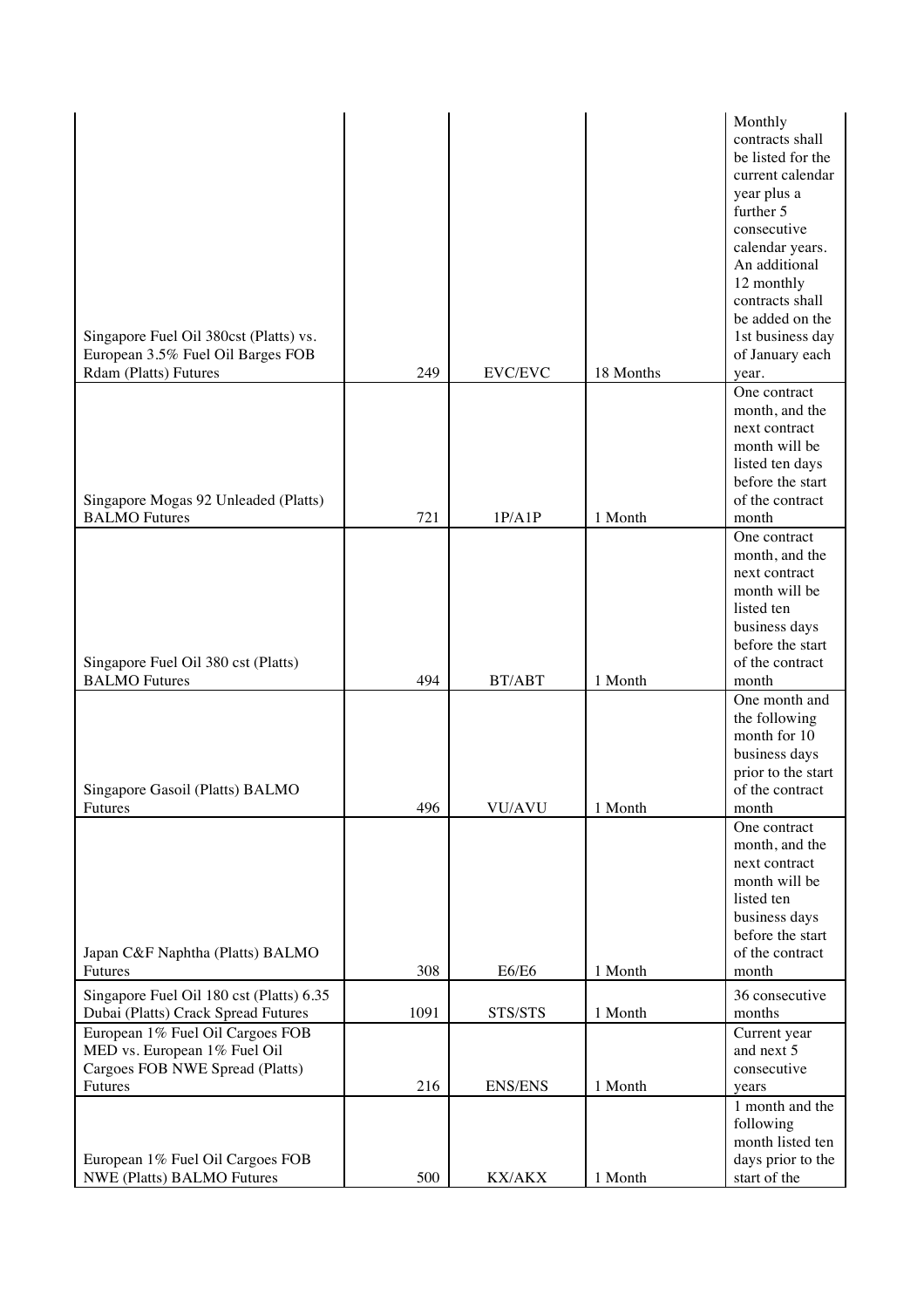| be listed for the<br>current calendar<br>year plus a<br>further 5<br>consecutive<br>calendar years.<br>An additional<br>12 monthly<br>contracts shall<br>be added on the<br>Singapore Fuel Oil 380cst (Platts) vs.<br>1st business day<br>European 3.5% Fuel Oil Barges FOB<br>of January each<br>249<br>EVC/EVC<br><b>Rdam (Platts) Futures</b><br>18 Months<br>year.<br>One contract<br>month, and the<br>next contract<br>month will be<br>listed ten days<br>before the start<br>Singapore Mogas 92 Unleaded (Platts)<br>of the contract<br>721<br>1P/AIP<br>1 Month<br><b>BALMO</b> Futures<br>month<br>One contract<br>month, and the<br>next contract<br>month will be<br>listed ten<br>business days<br>before the start<br>Singapore Fuel Oil 380 cst (Platts)<br>of the contract<br><b>BALMO</b> Futures<br>494<br>BT/ABT<br>1 Month<br>month<br>One month and<br>the following<br>month for 10<br>business days<br>prior to the start<br>of the contract<br>Singapore Gasoil (Platts) BALMO<br>496<br>month<br>VU/AVU<br>1 Month<br>Futures<br>One contract<br>month, and the<br>next contract<br>month will be<br>listed ten<br>business days<br>before the start<br>of the contract<br>Japan C&F Naphtha (Platts) BALMO<br>Futures<br>308<br><b>E6/E6</b><br>1 Month<br>month<br>Singapore Fuel Oil 180 cst (Platts) 6.35<br>36 consecutive<br>1091<br>Dubai (Platts) Crack Spread Futures<br>STS/STS<br>1 Month<br>months<br>European 1% Fuel Oil Cargoes FOB<br>Current year<br>MED vs. European 1% Fuel Oil<br>and next 5<br>Cargoes FOB NWE Spread (Platts)<br>consecutive<br>216<br><b>ENS/ENS</b><br>1 Month<br>Futures<br>years<br>1 month and the<br>following<br>month listed ten<br>days prior to the<br>European 1% Fuel Oil Cargoes FOB<br>NWE (Platts) BALMO Futures<br>500<br>1 Month<br>start of the<br>KX/AKX |  |  | Monthly         |
|--------------------------------------------------------------------------------------------------------------------------------------------------------------------------------------------------------------------------------------------------------------------------------------------------------------------------------------------------------------------------------------------------------------------------------------------------------------------------------------------------------------------------------------------------------------------------------------------------------------------------------------------------------------------------------------------------------------------------------------------------------------------------------------------------------------------------------------------------------------------------------------------------------------------------------------------------------------------------------------------------------------------------------------------------------------------------------------------------------------------------------------------------------------------------------------------------------------------------------------------------------------------------------------------------------------------------------------------------------------------------------------------------------------------------------------------------------------------------------------------------------------------------------------------------------------------------------------------------------------------------------------------------------------------------------------------------------------------------------------------------------------------------------------------------------------------------------------------|--|--|-----------------|
|                                                                                                                                                                                                                                                                                                                                                                                                                                                                                                                                                                                                                                                                                                                                                                                                                                                                                                                                                                                                                                                                                                                                                                                                                                                                                                                                                                                                                                                                                                                                                                                                                                                                                                                                                                                                                                            |  |  | contracts shall |
|                                                                                                                                                                                                                                                                                                                                                                                                                                                                                                                                                                                                                                                                                                                                                                                                                                                                                                                                                                                                                                                                                                                                                                                                                                                                                                                                                                                                                                                                                                                                                                                                                                                                                                                                                                                                                                            |  |  |                 |
|                                                                                                                                                                                                                                                                                                                                                                                                                                                                                                                                                                                                                                                                                                                                                                                                                                                                                                                                                                                                                                                                                                                                                                                                                                                                                                                                                                                                                                                                                                                                                                                                                                                                                                                                                                                                                                            |  |  |                 |
|                                                                                                                                                                                                                                                                                                                                                                                                                                                                                                                                                                                                                                                                                                                                                                                                                                                                                                                                                                                                                                                                                                                                                                                                                                                                                                                                                                                                                                                                                                                                                                                                                                                                                                                                                                                                                                            |  |  |                 |
|                                                                                                                                                                                                                                                                                                                                                                                                                                                                                                                                                                                                                                                                                                                                                                                                                                                                                                                                                                                                                                                                                                                                                                                                                                                                                                                                                                                                                                                                                                                                                                                                                                                                                                                                                                                                                                            |  |  |                 |
|                                                                                                                                                                                                                                                                                                                                                                                                                                                                                                                                                                                                                                                                                                                                                                                                                                                                                                                                                                                                                                                                                                                                                                                                                                                                                                                                                                                                                                                                                                                                                                                                                                                                                                                                                                                                                                            |  |  |                 |
|                                                                                                                                                                                                                                                                                                                                                                                                                                                                                                                                                                                                                                                                                                                                                                                                                                                                                                                                                                                                                                                                                                                                                                                                                                                                                                                                                                                                                                                                                                                                                                                                                                                                                                                                                                                                                                            |  |  |                 |
|                                                                                                                                                                                                                                                                                                                                                                                                                                                                                                                                                                                                                                                                                                                                                                                                                                                                                                                                                                                                                                                                                                                                                                                                                                                                                                                                                                                                                                                                                                                                                                                                                                                                                                                                                                                                                                            |  |  |                 |
|                                                                                                                                                                                                                                                                                                                                                                                                                                                                                                                                                                                                                                                                                                                                                                                                                                                                                                                                                                                                                                                                                                                                                                                                                                                                                                                                                                                                                                                                                                                                                                                                                                                                                                                                                                                                                                            |  |  |                 |
|                                                                                                                                                                                                                                                                                                                                                                                                                                                                                                                                                                                                                                                                                                                                                                                                                                                                                                                                                                                                                                                                                                                                                                                                                                                                                                                                                                                                                                                                                                                                                                                                                                                                                                                                                                                                                                            |  |  |                 |
|                                                                                                                                                                                                                                                                                                                                                                                                                                                                                                                                                                                                                                                                                                                                                                                                                                                                                                                                                                                                                                                                                                                                                                                                                                                                                                                                                                                                                                                                                                                                                                                                                                                                                                                                                                                                                                            |  |  |                 |
|                                                                                                                                                                                                                                                                                                                                                                                                                                                                                                                                                                                                                                                                                                                                                                                                                                                                                                                                                                                                                                                                                                                                                                                                                                                                                                                                                                                                                                                                                                                                                                                                                                                                                                                                                                                                                                            |  |  |                 |
|                                                                                                                                                                                                                                                                                                                                                                                                                                                                                                                                                                                                                                                                                                                                                                                                                                                                                                                                                                                                                                                                                                                                                                                                                                                                                                                                                                                                                                                                                                                                                                                                                                                                                                                                                                                                                                            |  |  |                 |
|                                                                                                                                                                                                                                                                                                                                                                                                                                                                                                                                                                                                                                                                                                                                                                                                                                                                                                                                                                                                                                                                                                                                                                                                                                                                                                                                                                                                                                                                                                                                                                                                                                                                                                                                                                                                                                            |  |  |                 |
|                                                                                                                                                                                                                                                                                                                                                                                                                                                                                                                                                                                                                                                                                                                                                                                                                                                                                                                                                                                                                                                                                                                                                                                                                                                                                                                                                                                                                                                                                                                                                                                                                                                                                                                                                                                                                                            |  |  |                 |
|                                                                                                                                                                                                                                                                                                                                                                                                                                                                                                                                                                                                                                                                                                                                                                                                                                                                                                                                                                                                                                                                                                                                                                                                                                                                                                                                                                                                                                                                                                                                                                                                                                                                                                                                                                                                                                            |  |  |                 |
|                                                                                                                                                                                                                                                                                                                                                                                                                                                                                                                                                                                                                                                                                                                                                                                                                                                                                                                                                                                                                                                                                                                                                                                                                                                                                                                                                                                                                                                                                                                                                                                                                                                                                                                                                                                                                                            |  |  |                 |
|                                                                                                                                                                                                                                                                                                                                                                                                                                                                                                                                                                                                                                                                                                                                                                                                                                                                                                                                                                                                                                                                                                                                                                                                                                                                                                                                                                                                                                                                                                                                                                                                                                                                                                                                                                                                                                            |  |  |                 |
|                                                                                                                                                                                                                                                                                                                                                                                                                                                                                                                                                                                                                                                                                                                                                                                                                                                                                                                                                                                                                                                                                                                                                                                                                                                                                                                                                                                                                                                                                                                                                                                                                                                                                                                                                                                                                                            |  |  |                 |
|                                                                                                                                                                                                                                                                                                                                                                                                                                                                                                                                                                                                                                                                                                                                                                                                                                                                                                                                                                                                                                                                                                                                                                                                                                                                                                                                                                                                                                                                                                                                                                                                                                                                                                                                                                                                                                            |  |  |                 |
|                                                                                                                                                                                                                                                                                                                                                                                                                                                                                                                                                                                                                                                                                                                                                                                                                                                                                                                                                                                                                                                                                                                                                                                                                                                                                                                                                                                                                                                                                                                                                                                                                                                                                                                                                                                                                                            |  |  |                 |
|                                                                                                                                                                                                                                                                                                                                                                                                                                                                                                                                                                                                                                                                                                                                                                                                                                                                                                                                                                                                                                                                                                                                                                                                                                                                                                                                                                                                                                                                                                                                                                                                                                                                                                                                                                                                                                            |  |  |                 |
|                                                                                                                                                                                                                                                                                                                                                                                                                                                                                                                                                                                                                                                                                                                                                                                                                                                                                                                                                                                                                                                                                                                                                                                                                                                                                                                                                                                                                                                                                                                                                                                                                                                                                                                                                                                                                                            |  |  |                 |
|                                                                                                                                                                                                                                                                                                                                                                                                                                                                                                                                                                                                                                                                                                                                                                                                                                                                                                                                                                                                                                                                                                                                                                                                                                                                                                                                                                                                                                                                                                                                                                                                                                                                                                                                                                                                                                            |  |  |                 |
|                                                                                                                                                                                                                                                                                                                                                                                                                                                                                                                                                                                                                                                                                                                                                                                                                                                                                                                                                                                                                                                                                                                                                                                                                                                                                                                                                                                                                                                                                                                                                                                                                                                                                                                                                                                                                                            |  |  |                 |
|                                                                                                                                                                                                                                                                                                                                                                                                                                                                                                                                                                                                                                                                                                                                                                                                                                                                                                                                                                                                                                                                                                                                                                                                                                                                                                                                                                                                                                                                                                                                                                                                                                                                                                                                                                                                                                            |  |  |                 |
|                                                                                                                                                                                                                                                                                                                                                                                                                                                                                                                                                                                                                                                                                                                                                                                                                                                                                                                                                                                                                                                                                                                                                                                                                                                                                                                                                                                                                                                                                                                                                                                                                                                                                                                                                                                                                                            |  |  |                 |
|                                                                                                                                                                                                                                                                                                                                                                                                                                                                                                                                                                                                                                                                                                                                                                                                                                                                                                                                                                                                                                                                                                                                                                                                                                                                                                                                                                                                                                                                                                                                                                                                                                                                                                                                                                                                                                            |  |  |                 |
|                                                                                                                                                                                                                                                                                                                                                                                                                                                                                                                                                                                                                                                                                                                                                                                                                                                                                                                                                                                                                                                                                                                                                                                                                                                                                                                                                                                                                                                                                                                                                                                                                                                                                                                                                                                                                                            |  |  |                 |
|                                                                                                                                                                                                                                                                                                                                                                                                                                                                                                                                                                                                                                                                                                                                                                                                                                                                                                                                                                                                                                                                                                                                                                                                                                                                                                                                                                                                                                                                                                                                                                                                                                                                                                                                                                                                                                            |  |  |                 |
|                                                                                                                                                                                                                                                                                                                                                                                                                                                                                                                                                                                                                                                                                                                                                                                                                                                                                                                                                                                                                                                                                                                                                                                                                                                                                                                                                                                                                                                                                                                                                                                                                                                                                                                                                                                                                                            |  |  |                 |
|                                                                                                                                                                                                                                                                                                                                                                                                                                                                                                                                                                                                                                                                                                                                                                                                                                                                                                                                                                                                                                                                                                                                                                                                                                                                                                                                                                                                                                                                                                                                                                                                                                                                                                                                                                                                                                            |  |  |                 |
|                                                                                                                                                                                                                                                                                                                                                                                                                                                                                                                                                                                                                                                                                                                                                                                                                                                                                                                                                                                                                                                                                                                                                                                                                                                                                                                                                                                                                                                                                                                                                                                                                                                                                                                                                                                                                                            |  |  |                 |
|                                                                                                                                                                                                                                                                                                                                                                                                                                                                                                                                                                                                                                                                                                                                                                                                                                                                                                                                                                                                                                                                                                                                                                                                                                                                                                                                                                                                                                                                                                                                                                                                                                                                                                                                                                                                                                            |  |  |                 |
|                                                                                                                                                                                                                                                                                                                                                                                                                                                                                                                                                                                                                                                                                                                                                                                                                                                                                                                                                                                                                                                                                                                                                                                                                                                                                                                                                                                                                                                                                                                                                                                                                                                                                                                                                                                                                                            |  |  |                 |
|                                                                                                                                                                                                                                                                                                                                                                                                                                                                                                                                                                                                                                                                                                                                                                                                                                                                                                                                                                                                                                                                                                                                                                                                                                                                                                                                                                                                                                                                                                                                                                                                                                                                                                                                                                                                                                            |  |  |                 |
|                                                                                                                                                                                                                                                                                                                                                                                                                                                                                                                                                                                                                                                                                                                                                                                                                                                                                                                                                                                                                                                                                                                                                                                                                                                                                                                                                                                                                                                                                                                                                                                                                                                                                                                                                                                                                                            |  |  |                 |
|                                                                                                                                                                                                                                                                                                                                                                                                                                                                                                                                                                                                                                                                                                                                                                                                                                                                                                                                                                                                                                                                                                                                                                                                                                                                                                                                                                                                                                                                                                                                                                                                                                                                                                                                                                                                                                            |  |  |                 |
|                                                                                                                                                                                                                                                                                                                                                                                                                                                                                                                                                                                                                                                                                                                                                                                                                                                                                                                                                                                                                                                                                                                                                                                                                                                                                                                                                                                                                                                                                                                                                                                                                                                                                                                                                                                                                                            |  |  |                 |
|                                                                                                                                                                                                                                                                                                                                                                                                                                                                                                                                                                                                                                                                                                                                                                                                                                                                                                                                                                                                                                                                                                                                                                                                                                                                                                                                                                                                                                                                                                                                                                                                                                                                                                                                                                                                                                            |  |  |                 |
|                                                                                                                                                                                                                                                                                                                                                                                                                                                                                                                                                                                                                                                                                                                                                                                                                                                                                                                                                                                                                                                                                                                                                                                                                                                                                                                                                                                                                                                                                                                                                                                                                                                                                                                                                                                                                                            |  |  |                 |
|                                                                                                                                                                                                                                                                                                                                                                                                                                                                                                                                                                                                                                                                                                                                                                                                                                                                                                                                                                                                                                                                                                                                                                                                                                                                                                                                                                                                                                                                                                                                                                                                                                                                                                                                                                                                                                            |  |  |                 |
|                                                                                                                                                                                                                                                                                                                                                                                                                                                                                                                                                                                                                                                                                                                                                                                                                                                                                                                                                                                                                                                                                                                                                                                                                                                                                                                                                                                                                                                                                                                                                                                                                                                                                                                                                                                                                                            |  |  |                 |
|                                                                                                                                                                                                                                                                                                                                                                                                                                                                                                                                                                                                                                                                                                                                                                                                                                                                                                                                                                                                                                                                                                                                                                                                                                                                                                                                                                                                                                                                                                                                                                                                                                                                                                                                                                                                                                            |  |  |                 |
|                                                                                                                                                                                                                                                                                                                                                                                                                                                                                                                                                                                                                                                                                                                                                                                                                                                                                                                                                                                                                                                                                                                                                                                                                                                                                                                                                                                                                                                                                                                                                                                                                                                                                                                                                                                                                                            |  |  |                 |
|                                                                                                                                                                                                                                                                                                                                                                                                                                                                                                                                                                                                                                                                                                                                                                                                                                                                                                                                                                                                                                                                                                                                                                                                                                                                                                                                                                                                                                                                                                                                                                                                                                                                                                                                                                                                                                            |  |  |                 |
|                                                                                                                                                                                                                                                                                                                                                                                                                                                                                                                                                                                                                                                                                                                                                                                                                                                                                                                                                                                                                                                                                                                                                                                                                                                                                                                                                                                                                                                                                                                                                                                                                                                                                                                                                                                                                                            |  |  |                 |
|                                                                                                                                                                                                                                                                                                                                                                                                                                                                                                                                                                                                                                                                                                                                                                                                                                                                                                                                                                                                                                                                                                                                                                                                                                                                                                                                                                                                                                                                                                                                                                                                                                                                                                                                                                                                                                            |  |  |                 |
|                                                                                                                                                                                                                                                                                                                                                                                                                                                                                                                                                                                                                                                                                                                                                                                                                                                                                                                                                                                                                                                                                                                                                                                                                                                                                                                                                                                                                                                                                                                                                                                                                                                                                                                                                                                                                                            |  |  |                 |
|                                                                                                                                                                                                                                                                                                                                                                                                                                                                                                                                                                                                                                                                                                                                                                                                                                                                                                                                                                                                                                                                                                                                                                                                                                                                                                                                                                                                                                                                                                                                                                                                                                                                                                                                                                                                                                            |  |  |                 |
|                                                                                                                                                                                                                                                                                                                                                                                                                                                                                                                                                                                                                                                                                                                                                                                                                                                                                                                                                                                                                                                                                                                                                                                                                                                                                                                                                                                                                                                                                                                                                                                                                                                                                                                                                                                                                                            |  |  |                 |
|                                                                                                                                                                                                                                                                                                                                                                                                                                                                                                                                                                                                                                                                                                                                                                                                                                                                                                                                                                                                                                                                                                                                                                                                                                                                                                                                                                                                                                                                                                                                                                                                                                                                                                                                                                                                                                            |  |  |                 |
|                                                                                                                                                                                                                                                                                                                                                                                                                                                                                                                                                                                                                                                                                                                                                                                                                                                                                                                                                                                                                                                                                                                                                                                                                                                                                                                                                                                                                                                                                                                                                                                                                                                                                                                                                                                                                                            |  |  |                 |
|                                                                                                                                                                                                                                                                                                                                                                                                                                                                                                                                                                                                                                                                                                                                                                                                                                                                                                                                                                                                                                                                                                                                                                                                                                                                                                                                                                                                                                                                                                                                                                                                                                                                                                                                                                                                                                            |  |  |                 |
|                                                                                                                                                                                                                                                                                                                                                                                                                                                                                                                                                                                                                                                                                                                                                                                                                                                                                                                                                                                                                                                                                                                                                                                                                                                                                                                                                                                                                                                                                                                                                                                                                                                                                                                                                                                                                                            |  |  |                 |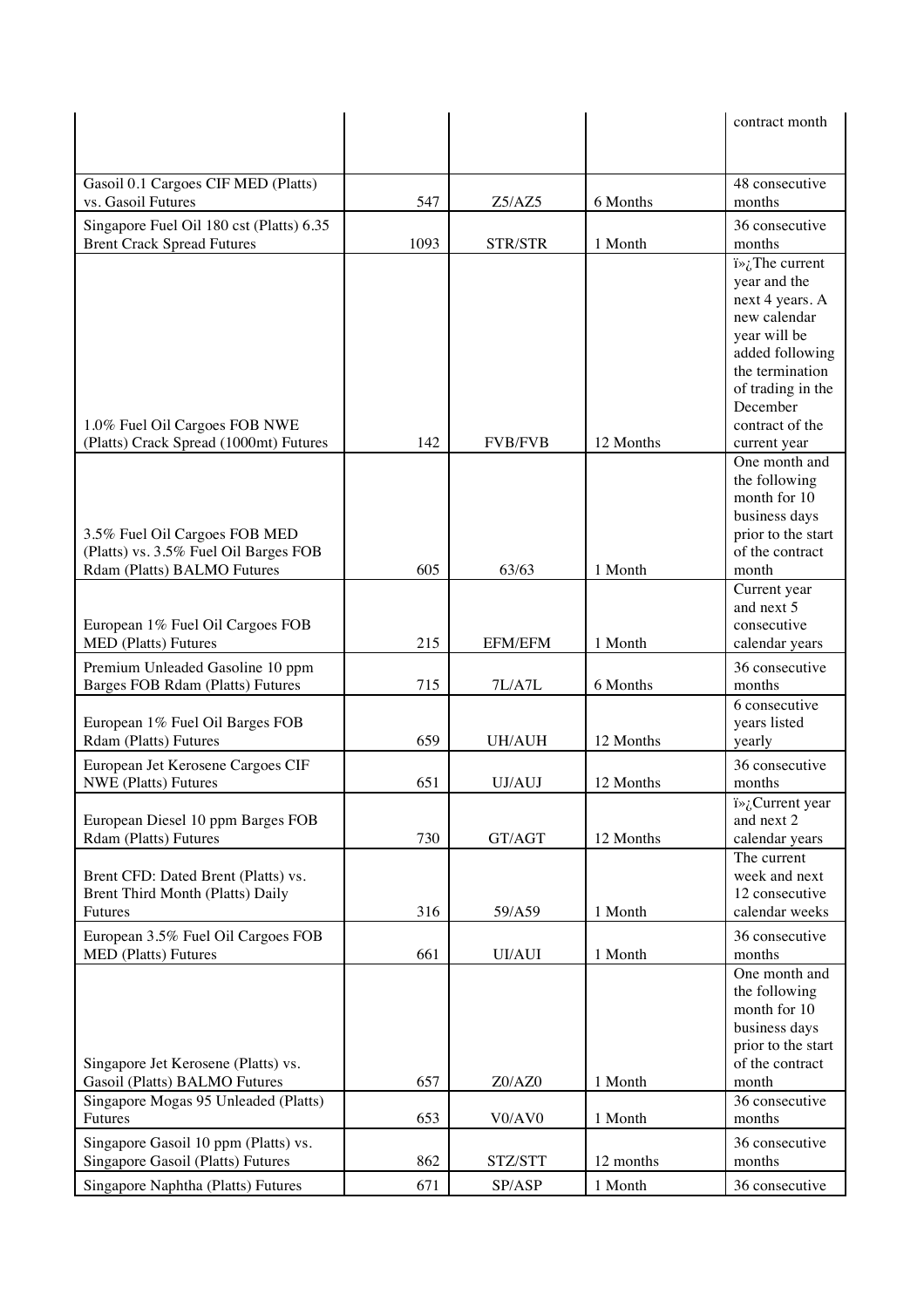|                                                                         |      |                   |                      | contract month                                 |
|-------------------------------------------------------------------------|------|-------------------|----------------------|------------------------------------------------|
|                                                                         |      |                   |                      |                                                |
| Gasoil 0.1 Cargoes CIF MED (Platts)<br>vs. Gasoil Futures               | 547  | Z5/AZ5            | 6 Months             | 48 consecutive<br>months                       |
| Singapore Fuel Oil 180 cst (Platts) 6.35                                |      |                   |                      | 36 consecutive                                 |
| <b>Brent Crack Spread Futures</b>                                       | 1093 | STR/STR           | 1 Month              | months                                         |
|                                                                         |      |                   |                      | $i\rightarrow i$ . The current<br>year and the |
|                                                                         |      |                   |                      | next 4 years. A                                |
|                                                                         |      |                   |                      | new calendar                                   |
|                                                                         |      |                   |                      | year will be<br>added following                |
|                                                                         |      |                   |                      | the termination                                |
|                                                                         |      |                   |                      | of trading in the                              |
|                                                                         |      |                   |                      | December                                       |
| 1.0% Fuel Oil Cargoes FOB NWE<br>(Platts) Crack Spread (1000mt) Futures | 142  | <b>FVB/FVB</b>    | 12 Months            | contract of the<br>current year                |
|                                                                         |      |                   |                      | One month and                                  |
|                                                                         |      |                   |                      | the following                                  |
|                                                                         |      |                   |                      | month for 10                                   |
| 3.5% Fuel Oil Cargoes FOB MED                                           |      |                   |                      | business days<br>prior to the start            |
| (Platts) vs. 3.5% Fuel Oil Barges FOB                                   |      |                   |                      | of the contract                                |
| Rdam (Platts) BALMO Futures                                             | 605  | 63/63             | 1 Month              | month                                          |
|                                                                         |      |                   |                      | Current year<br>and next 5                     |
| European 1% Fuel Oil Cargoes FOB                                        |      |                   |                      | consecutive                                    |
| <b>MED</b> (Platts) Futures                                             | 215  | <b>EFM/EFM</b>    | 1 Month              | calendar years                                 |
|                                                                         |      |                   |                      |                                                |
| Premium Unleaded Gasoline 10 ppm<br>Barges FOB Rdam (Platts) Futures    | 715  | 7L/A7L            | 6 Months             | 36 consecutive<br>months                       |
|                                                                         |      |                   |                      | 6 consecutive                                  |
| European 1% Fuel Oil Barges FOB                                         |      |                   |                      | years listed                                   |
| Rdam (Platts) Futures                                                   | 659  | UH/AUH            | 12 Months            | yearly                                         |
| European Jet Kerosene Cargoes CIF<br><b>NWE</b> (Platts) Futures        | 651  | UJ/AUJ            | 12 Months            | 36 consecutive<br>months                       |
|                                                                         |      |                   |                      | Current year                                   |
| European Diesel 10 ppm Barges FOB                                       | 730  | GT/AGT            | 12 Months            | and next 2                                     |
| Rdam (Platts) Futures                                                   |      |                   |                      | calendar years<br>The current                  |
| Brent CFD: Dated Brent (Platts) vs.                                     |      |                   |                      | week and next                                  |
| Brent Third Month (Platts) Daily                                        |      |                   |                      | 12 consecutive                                 |
| Futures                                                                 | 316  | 59/A59            | 1 Month              | calendar weeks                                 |
| European 3.5% Fuel Oil Cargoes FOB<br><b>MED</b> (Platts) Futures       | 661  | <b>UI/AUI</b>     | 1 Month              | 36 consecutive<br>months                       |
|                                                                         |      |                   |                      | One month and                                  |
|                                                                         |      |                   |                      | the following                                  |
|                                                                         |      |                   |                      | month for 10<br>business days                  |
|                                                                         |      |                   |                      | prior to the start                             |
| Singapore Jet Kerosene (Platts) vs.                                     |      |                   |                      | of the contract                                |
| Gasoil (Platts) BALMO Futures                                           | 657  | Z0/AZ0            | 1 Month              | month<br>36 consecutive                        |
| Singapore Mogas 95 Unleaded (Platts)<br>Futures                         | 653  | V0/AV0            | 1 Month              | months                                         |
| Singapore Gasoil 10 ppm (Platts) vs.                                    |      |                   |                      | 36 consecutive                                 |
| Singapore Gasoil (Platts) Futures                                       | 862  | STZ/STT<br>SP/ASP | 12 months<br>1 Month | months                                         |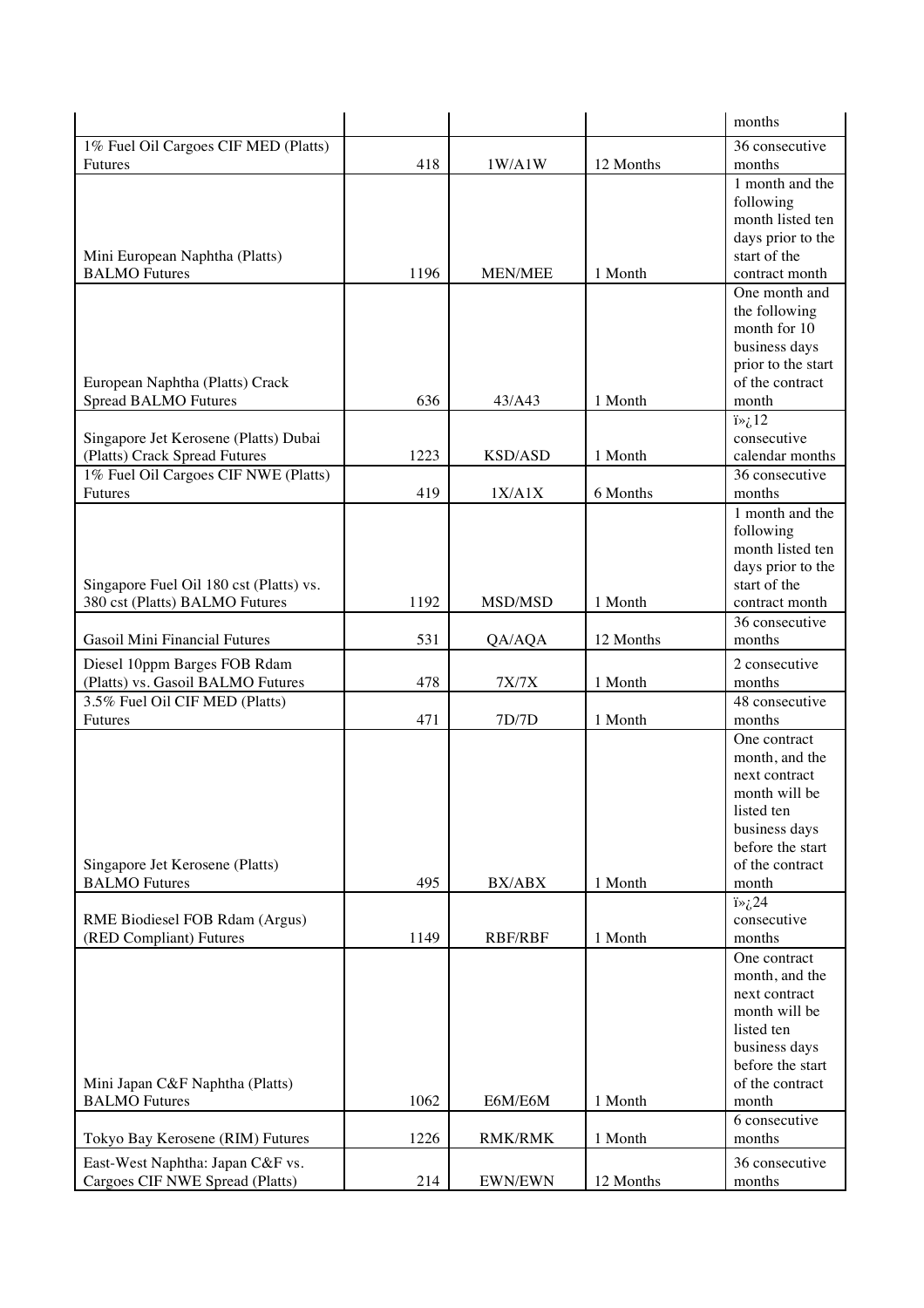|                                                                        |      |                |           | months                            |
|------------------------------------------------------------------------|------|----------------|-----------|-----------------------------------|
| 1% Fuel Oil Cargoes CIF MED (Platts)                                   |      |                |           | 36 consecutive                    |
| <b>Futures</b>                                                         | 418  | 1W/A1W         | 12 Months | months                            |
|                                                                        |      |                |           | 1 month and the                   |
|                                                                        |      |                |           | following                         |
|                                                                        |      |                |           | month listed ten                  |
|                                                                        |      |                |           | days prior to the<br>start of the |
| Mini European Naphtha (Platts)<br><b>BALMO</b> Futures                 | 1196 | <b>MEN/MEE</b> | 1 Month   | contract month                    |
|                                                                        |      |                |           | One month and                     |
|                                                                        |      |                |           | the following                     |
|                                                                        |      |                |           | month for 10                      |
|                                                                        |      |                |           | business days                     |
|                                                                        |      |                |           | prior to the start                |
| European Naphtha (Platts) Crack                                        |      |                |           | of the contract                   |
| <b>Spread BALMO Futures</b>                                            | 636  | 43/A43         | 1 Month   | month                             |
|                                                                        |      |                |           | $i\rightarrow i$ .12              |
| Singapore Jet Kerosene (Platts) Dubai<br>(Platts) Crack Spread Futures | 1223 | <b>KSD/ASD</b> | 1 Month   | consecutive<br>calendar months    |
| 1% Fuel Oil Cargoes CIF NWE (Platts)                                   |      |                |           | 36 consecutive                    |
| <b>Futures</b>                                                         | 419  | 1X/AIX         | 6 Months  | months                            |
|                                                                        |      |                |           | 1 month and the                   |
|                                                                        |      |                |           | following                         |
|                                                                        |      |                |           | month listed ten                  |
|                                                                        |      |                |           | days prior to the                 |
| Singapore Fuel Oil 180 cst (Platts) vs.                                |      |                |           | start of the                      |
| 380 cst (Platts) BALMO Futures                                         | 1192 | MSD/MSD        | 1 Month   | contract month                    |
|                                                                        |      |                |           | 36 consecutive                    |
| <b>Gasoil Mini Financial Futures</b>                                   | 531  | QA/AQA         | 12 Months | months                            |
| Diesel 10ppm Barges FOB Rdam                                           |      |                |           | 2 consecutive                     |
|                                                                        |      |                |           |                                   |
| (Platts) vs. Gasoil BALMO Futures                                      | 478  | 7X/7X          | 1 Month   | months                            |
| 3.5% Fuel Oil CIF MED (Platts)                                         |      |                |           | 48 consecutive                    |
| <b>Futures</b>                                                         | 471  | 7D/7D          | 1 Month   | months                            |
|                                                                        |      |                |           | One contract                      |
|                                                                        |      |                |           | month, and the<br>next contract   |
|                                                                        |      |                |           | month will be                     |
|                                                                        |      |                |           | listed ten                        |
|                                                                        |      |                |           | business days                     |
|                                                                        |      |                |           | before the start                  |
| Singapore Jet Kerosene (Platts)                                        |      |                |           | of the contract                   |
| <b>BALMO</b> Futures                                                   | 495  | BX/ABX         | 1 Month   | month                             |
|                                                                        |      |                |           | $i\rightarrow i$ , 24             |
| RME Biodiesel FOB Rdam (Argus)                                         |      |                |           | consecutive                       |
| (RED Compliant) Futures                                                | 1149 | <b>RBF/RBF</b> | 1 Month   | months<br>One contract            |
|                                                                        |      |                |           | month, and the                    |
|                                                                        |      |                |           | next contract                     |
|                                                                        |      |                |           | month will be                     |
|                                                                        |      |                |           | listed ten                        |
|                                                                        |      |                |           | business days                     |
|                                                                        |      |                |           | before the start                  |
| Mini Japan C&F Naphtha (Platts)                                        |      |                |           | of the contract                   |
| <b>BALMO</b> Futures                                                   | 1062 | E6M/E6M        | 1 Month   | month                             |
| Tokyo Bay Kerosene (RIM) Futures                                       | 1226 | <b>RMK/RMK</b> | 1 Month   | 6 consecutive<br>months           |
|                                                                        |      |                |           |                                   |
| East-West Naphtha: Japan C&F vs.<br>Cargoes CIF NWE Spread (Platts)    | 214  | EWN/EWN        | 12 Months | 36 consecutive<br>months          |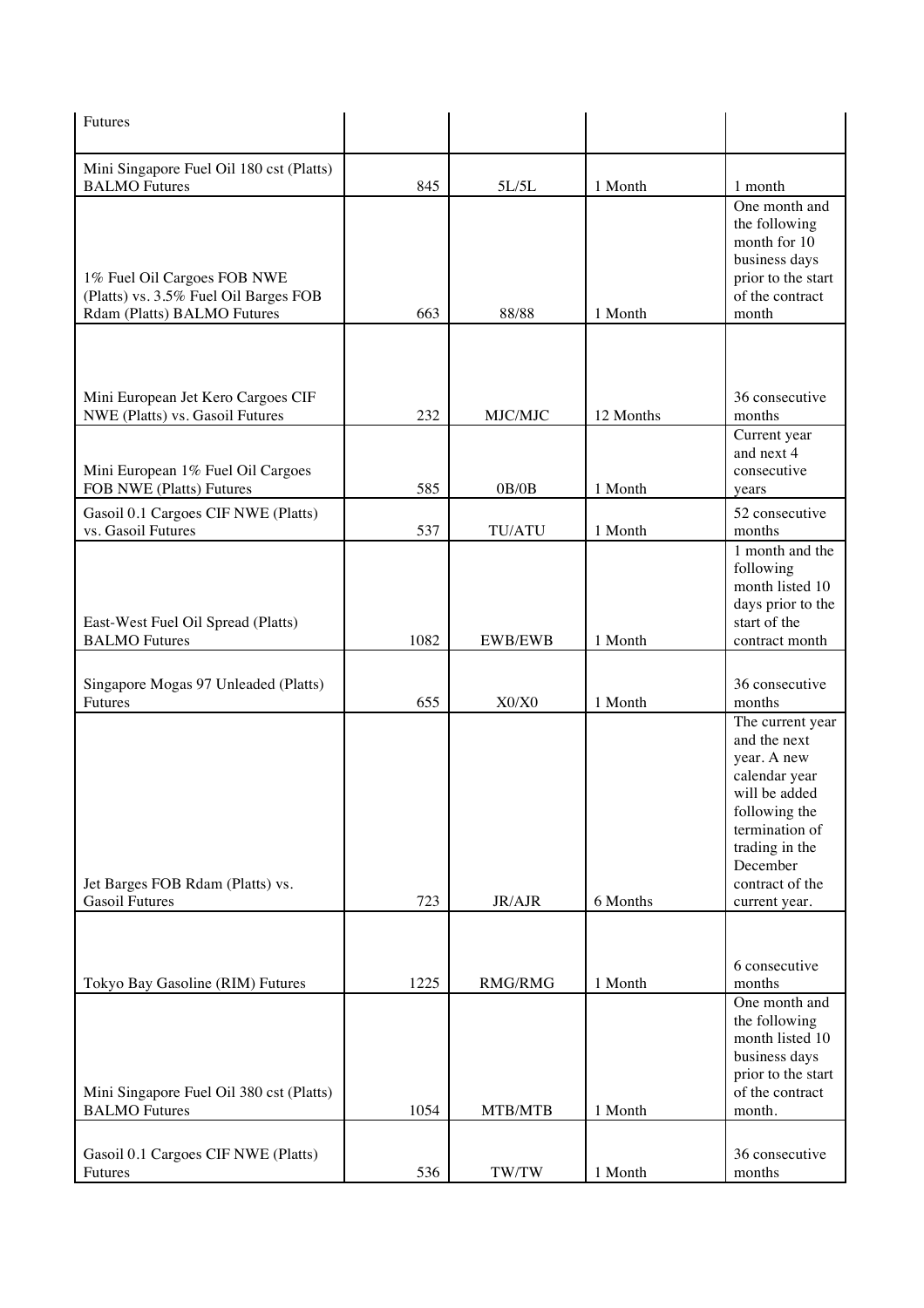| Futures                                                                                                                     |            |                |                    |                                                                                                                                                                                        |
|-----------------------------------------------------------------------------------------------------------------------------|------------|----------------|--------------------|----------------------------------------------------------------------------------------------------------------------------------------------------------------------------------------|
| Mini Singapore Fuel Oil 180 cst (Platts)                                                                                    |            |                |                    |                                                                                                                                                                                        |
| <b>BALMO</b> Futures<br>1% Fuel Oil Cargoes FOB NWE<br>(Platts) vs. 3.5% Fuel Oil Barges FOB<br>Rdam (Platts) BALMO Futures | 845<br>663 | 5L/5L<br>88/88 | 1 Month<br>1 Month | 1 month<br>One month and<br>the following<br>month for 10<br>business days<br>prior to the start<br>of the contract<br>month                                                           |
|                                                                                                                             |            |                |                    |                                                                                                                                                                                        |
| Mini European Jet Kero Cargoes CIF<br>NWE (Platts) vs. Gasoil Futures                                                       | 232        | MJC/MJC        | 12 Months          | 36 consecutive<br>months                                                                                                                                                               |
| Mini European 1% Fuel Oil Cargoes<br>FOB NWE (Platts) Futures                                                               | 585        | OB/OB          | 1 Month            | Current year<br>and next 4<br>consecutive<br>years                                                                                                                                     |
| Gasoil 0.1 Cargoes CIF NWE (Platts)<br>vs. Gasoil Futures                                                                   | 537        | <b>TU/ATU</b>  | 1 Month            | 52 consecutive<br>months                                                                                                                                                               |
| East-West Fuel Oil Spread (Platts)<br><b>BALMO</b> Futures                                                                  | 1082       | <b>EWB/EWB</b> | 1 Month            | 1 month and the<br>following<br>month listed 10<br>days prior to the<br>start of the<br>contract month                                                                                 |
| Singapore Mogas 97 Unleaded (Platts)<br>Futures                                                                             | 655        | X0/X0          | 1 Month            | 36 consecutive<br>months                                                                                                                                                               |
| Jet Barges FOB Rdam (Platts) vs.<br><b>Gasoil Futures</b>                                                                   | 723        | JR/AJR         | 6 Months           | The current year<br>and the next<br>year. A new<br>calendar year<br>will be added<br>following the<br>termination of<br>trading in the<br>December<br>contract of the<br>current year. |
|                                                                                                                             |            |                |                    |                                                                                                                                                                                        |
| Tokyo Bay Gasoline (RIM) Futures                                                                                            | 1225       | RMG/RMG        | 1 Month            | 6 consecutive<br>months                                                                                                                                                                |
| Mini Singapore Fuel Oil 380 cst (Platts)<br><b>BALMO</b> Futures                                                            | 1054       | MTB/MTB        | 1 Month            | One month and<br>the following<br>month listed 10<br>business days<br>prior to the start<br>of the contract<br>month.                                                                  |
| Gasoil 0.1 Cargoes CIF NWE (Platts)<br>Futures                                                                              | 536        | TW/TW          | 1 Month            | 36 consecutive<br>months                                                                                                                                                               |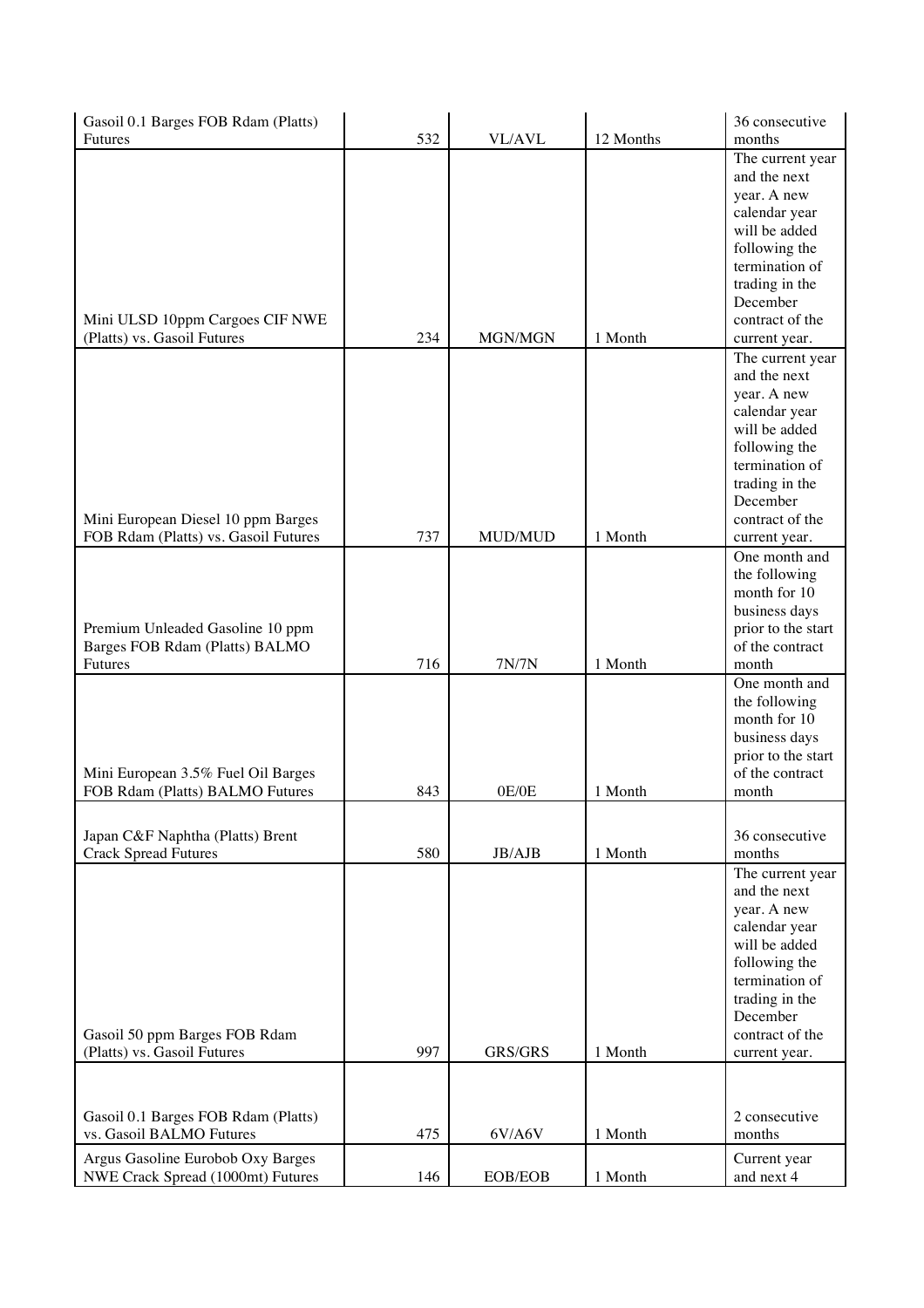| Gasoil 0.1 Barges FOB Rdam (Platts)                            |     |               |           | 36 consecutive                   |
|----------------------------------------------------------------|-----|---------------|-----------|----------------------------------|
| Futures                                                        | 532 | <b>VL/AVL</b> | 12 Months | months                           |
|                                                                |     |               |           | The current year                 |
|                                                                |     |               |           | and the next                     |
|                                                                |     |               |           | year. A new                      |
|                                                                |     |               |           | calendar year                    |
|                                                                |     |               |           | will be added                    |
|                                                                |     |               |           | following the                    |
|                                                                |     |               |           | termination of                   |
|                                                                |     |               |           | trading in the                   |
|                                                                |     |               |           | December<br>contract of the      |
| Mini ULSD 10ppm Cargoes CIF NWE<br>(Platts) vs. Gasoil Futures | 234 | MGN/MGN       | 1 Month   |                                  |
|                                                                |     |               |           | current year.                    |
|                                                                |     |               |           | The current year<br>and the next |
|                                                                |     |               |           | year. A new                      |
|                                                                |     |               |           | calendar year                    |
|                                                                |     |               |           | will be added                    |
|                                                                |     |               |           | following the                    |
|                                                                |     |               |           | termination of                   |
|                                                                |     |               |           | trading in the                   |
|                                                                |     |               |           | December                         |
| Mini European Diesel 10 ppm Barges                             |     |               |           | contract of the                  |
| FOB Rdam (Platts) vs. Gasoil Futures                           | 737 | MUD/MUD       | 1 Month   | current year.                    |
|                                                                |     |               |           | One month and                    |
|                                                                |     |               |           | the following                    |
|                                                                |     |               |           | month for 10                     |
|                                                                |     |               |           | business days                    |
| Premium Unleaded Gasoline 10 ppm                               |     |               |           | prior to the start               |
| Barges FOB Rdam (Platts) BALMO                                 |     |               |           | of the contract                  |
| <b>Futures</b>                                                 | 716 | 7N/7N         | 1 Month   | month                            |
|                                                                |     |               |           | One month and                    |
|                                                                |     |               |           | the following                    |
|                                                                |     |               |           | month for 10                     |
|                                                                |     |               |           | business days                    |
|                                                                |     |               |           | prior to the start               |
| Mini European 3.5% Fuel Oil Barges                             |     |               |           | of the contract                  |
| FOB Rdam (Platts) BALMO Futures                                | 843 | 0E/0E         | 1 Month   | month                            |
|                                                                |     |               |           |                                  |
| Japan C&F Naphtha (Platts) Brent                               |     |               |           | 36 consecutive                   |
| <b>Crack Spread Futures</b>                                    | 580 | JB/AJB        | 1 Month   | months                           |
|                                                                |     |               |           | The current year                 |
|                                                                |     |               |           | and the next                     |
|                                                                |     |               |           | year. A new                      |
|                                                                |     |               |           | calendar year                    |
|                                                                |     |               |           | will be added                    |
|                                                                |     |               |           | following the                    |
|                                                                |     |               |           | termination of                   |
|                                                                |     |               |           | trading in the                   |
|                                                                |     |               |           | December                         |
| Gasoil 50 ppm Barges FOB Rdam                                  |     |               |           | contract of the                  |
| (Platts) vs. Gasoil Futures                                    | 997 | GRS/GRS       | 1 Month   | current year.                    |
|                                                                |     |               |           |                                  |
|                                                                |     |               |           |                                  |
| Gasoil 0.1 Barges FOB Rdam (Platts)                            |     |               |           | 2 consecutive                    |
| vs. Gasoil BALMO Futures                                       | 475 | 6V/A6V        | 1 Month   | months                           |
| Argus Gasoline Eurobob Oxy Barges                              |     |               |           | Current year                     |
| NWE Crack Spread (1000mt) Futures                              | 146 | EOB/EOB       | 1 Month   | and next 4                       |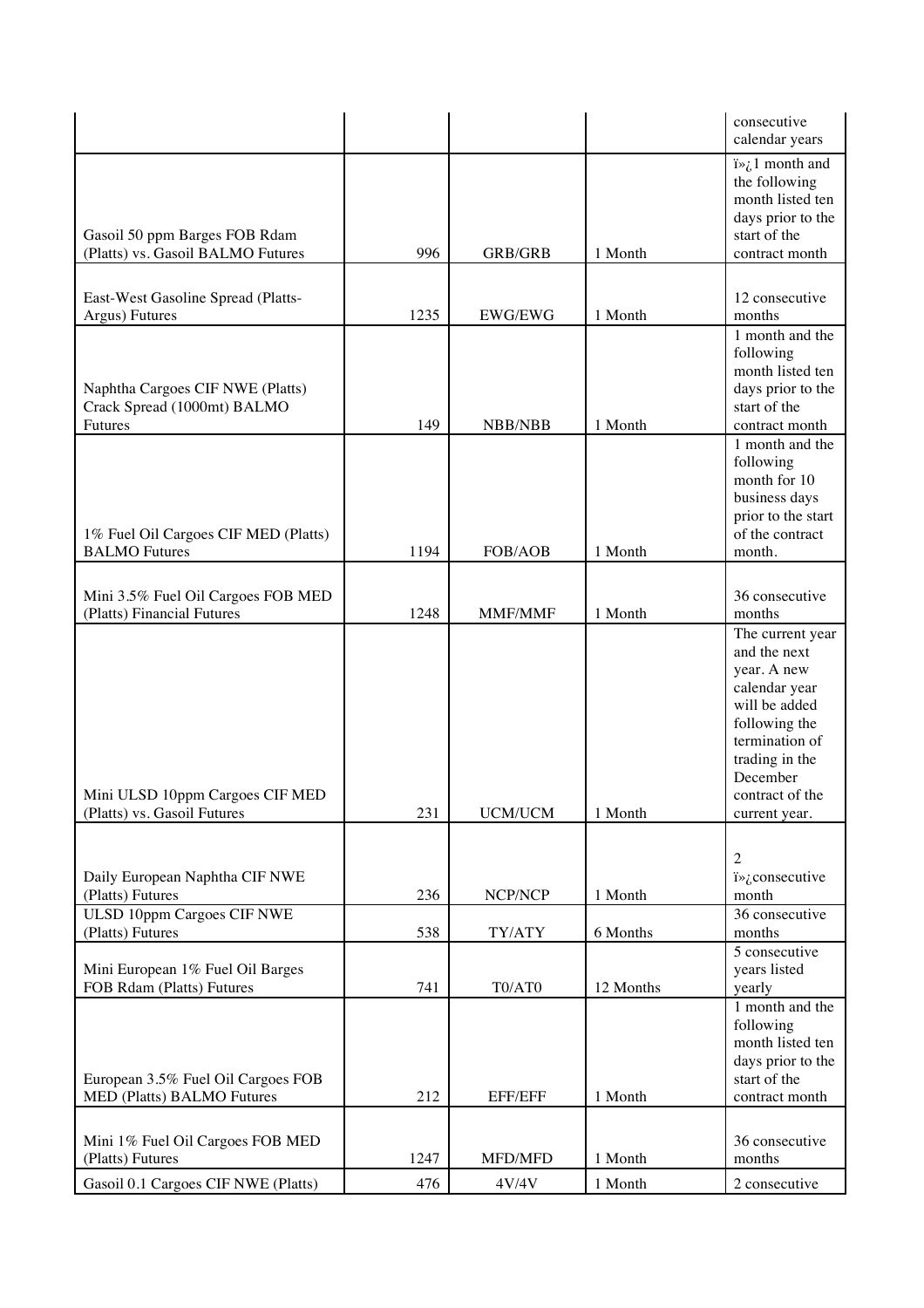|                                                                    |      |                |           | consecutive<br>calendar years         |
|--------------------------------------------------------------------|------|----------------|-----------|---------------------------------------|
|                                                                    |      |                |           | $i\rightarrow i$ month and            |
|                                                                    |      |                |           | the following                         |
|                                                                    |      |                |           | month listed ten                      |
|                                                                    |      |                |           | days prior to the                     |
| Gasoil 50 ppm Barges FOB Rdam<br>(Platts) vs. Gasoil BALMO Futures | 996  | <b>GRB/GRB</b> | 1 Month   | start of the<br>contract month        |
|                                                                    |      |                |           |                                       |
|                                                                    |      |                |           | 12 consecutive                        |
| East-West Gasoline Spread (Platts-<br>Argus) Futures               | 1235 | EWG/EWG        | 1 Month   | months                                |
|                                                                    |      |                |           | 1 month and the                       |
|                                                                    |      |                |           | following                             |
|                                                                    |      |                |           | month listed ten                      |
| Naphtha Cargoes CIF NWE (Platts)                                   |      |                |           | days prior to the                     |
| Crack Spread (1000mt) BALMO<br>Futures                             | 149  | NBB/NBB        | 1 Month   | start of the<br>contract month        |
|                                                                    |      |                |           | 1 month and the                       |
|                                                                    |      |                |           | following                             |
|                                                                    |      |                |           | month for 10                          |
|                                                                    |      |                |           | business days                         |
| 1% Fuel Oil Cargoes CIF MED (Platts)                               |      |                |           | prior to the start<br>of the contract |
| <b>BALMO</b> Futures                                               | 1194 | FOB/AOB        | 1 Month   | month.                                |
|                                                                    |      |                |           |                                       |
| Mini 3.5% Fuel Oil Cargoes FOB MED                                 |      |                |           | 36 consecutive                        |
| (Platts) Financial Futures                                         | 1248 | MMF/MMF        | 1 Month   | months                                |
|                                                                    |      |                |           | The current year                      |
|                                                                    |      |                |           | and the next                          |
|                                                                    |      |                |           | year. A new<br>calendar year          |
|                                                                    |      |                |           | will be added                         |
|                                                                    |      |                |           | following the                         |
|                                                                    |      |                |           | termination of                        |
|                                                                    |      |                |           | trading in the<br>December            |
| Mini ULSD 10ppm Cargoes CIF MED                                    |      |                |           | contract of the                       |
| (Platts) vs. Gasoil Futures                                        | 231  | <b>UCM/UCM</b> | 1 Month   | current year.                         |
|                                                                    |      |                |           |                                       |
|                                                                    |      |                |           | $\overline{2}$                        |
| Daily European Naphtha CIF NWE                                     |      |                |           | i» ¿consecutive                       |
| (Platts) Futures                                                   | 236  | NCP/NCP        | 1 Month   | month                                 |
| ULSD 10ppm Cargoes CIF NWE                                         |      |                |           | 36 consecutive                        |
| (Platts) Futures                                                   | 538  | TY/ATY         | 6 Months  | months<br>5 consecutive               |
| Mini European 1% Fuel Oil Barges                                   |      |                |           | years listed                          |
| FOB Rdam (Platts) Futures                                          | 741  | T0/AT0         | 12 Months | yearly                                |
|                                                                    |      |                |           | 1 month and the                       |
|                                                                    |      |                |           | following                             |
|                                                                    |      |                |           | month listed ten<br>days prior to the |
| European 3.5% Fuel Oil Cargoes FOB                                 |      |                |           | start of the                          |
| MED (Platts) BALMO Futures                                         | 212  | <b>EFF/EFF</b> | 1 Month   | contract month                        |
|                                                                    |      |                |           |                                       |
| Mini 1% Fuel Oil Cargoes FOB MED                                   |      |                |           | 36 consecutive                        |
| (Platts) Futures                                                   | 1247 | MFD/MFD        | 1 Month   | months                                |
| Gasoil 0.1 Cargoes CIF NWE (Platts)                                | 476  | 4V/4V          | 1 Month   | 2 consecutive                         |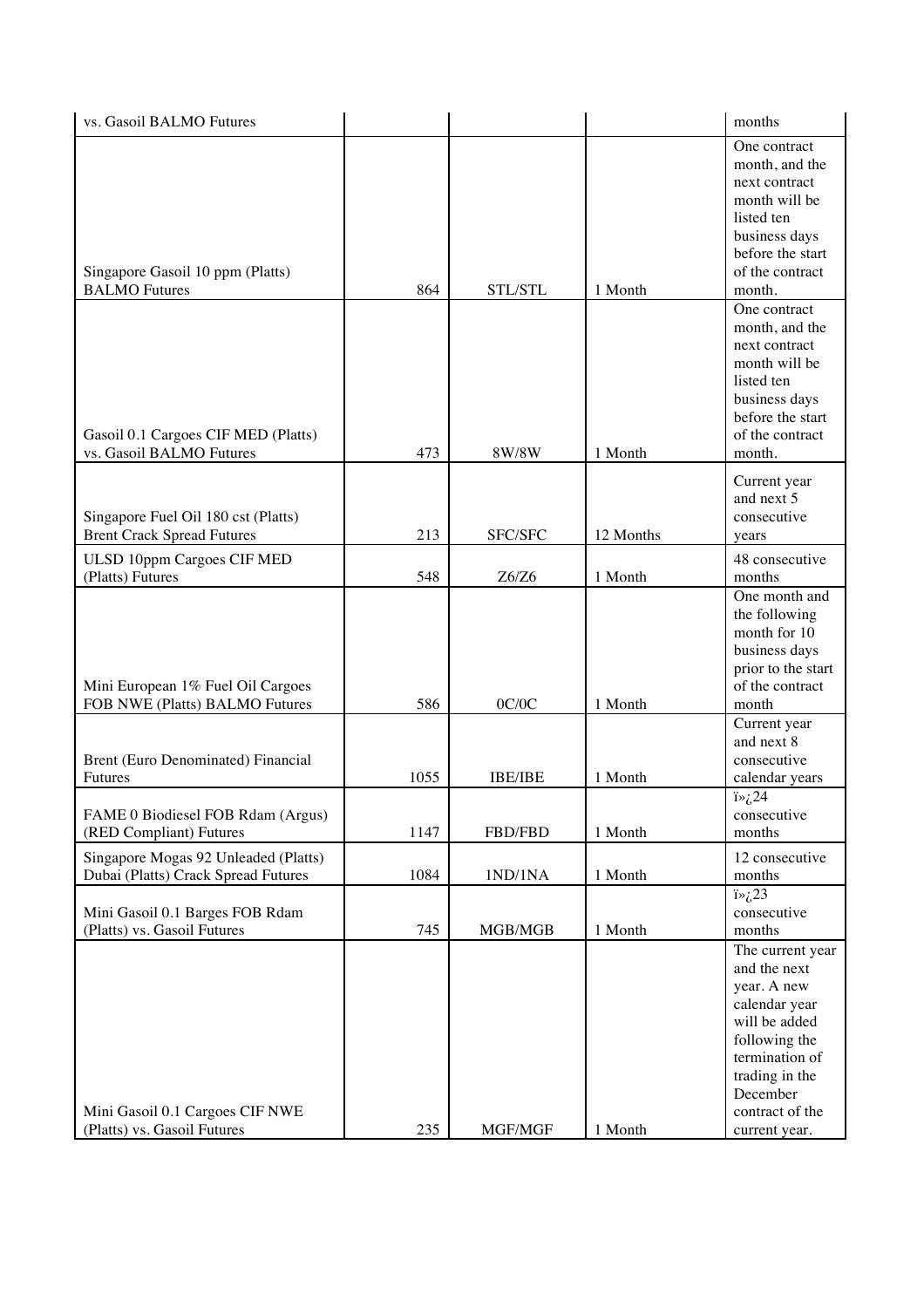| vs. Gasoil BALMO Futures                                                    |      |                |           | months                                                                                                                                                                                 |
|-----------------------------------------------------------------------------|------|----------------|-----------|----------------------------------------------------------------------------------------------------------------------------------------------------------------------------------------|
| Singapore Gasoil 10 ppm (Platts)<br><b>BALMO</b> Futures                    | 864  | STL/STL        | 1 Month   | One contract<br>month, and the<br>next contract<br>month will be<br>listed ten<br>business days<br>before the start<br>of the contract<br>month.                                       |
| Gasoil 0.1 Cargoes CIF MED (Platts)<br>vs. Gasoil BALMO Futures             | 473  | 8W/8W          | 1 Month   | One contract<br>month, and the<br>next contract<br>month will be<br>listed ten<br>business days<br>before the start<br>of the contract<br>month.                                       |
| Singapore Fuel Oil 180 cst (Platts)<br><b>Brent Crack Spread Futures</b>    | 213  | SFC/SFC        | 12 Months | Current year<br>and next 5<br>consecutive<br>years                                                                                                                                     |
| ULSD 10ppm Cargoes CIF MED<br>(Platts) Futures                              | 548  | Z6/Z6          | 1 Month   | 48 consecutive<br>months                                                                                                                                                               |
| Mini European 1% Fuel Oil Cargoes<br>FOB NWE (Platts) BALMO Futures         | 586  | 0C/0C          | 1 Month   | One month and<br>the following<br>month for 10<br>business days<br>prior to the start<br>of the contract<br>month                                                                      |
| Brent (Euro Denominated) Financial<br><b>Futures</b>                        | 1055 | <b>IBE/IBE</b> | 1 Month   | Current year<br>and next 8<br>consecutive<br>calendar years                                                                                                                            |
| FAME 0 Biodiesel FOB Rdam (Argus)<br>(RED Compliant) Futures                | 1147 | FBD/FBD        | 1 Month   | $i\rightarrow i$ ,24<br>consecutive<br>months                                                                                                                                          |
| Singapore Mogas 92 Unleaded (Platts)<br>Dubai (Platts) Crack Spread Futures | 1084 | 1ND/1NA        | 1 Month   | 12 consecutive<br>months                                                                                                                                                               |
| Mini Gasoil 0.1 Barges FOB Rdam<br>(Platts) vs. Gasoil Futures              | 745  | MGB/MGB        | 1 Month   | $i\rightarrow i$ , 23<br>consecutive<br>months                                                                                                                                         |
| Mini Gasoil 0.1 Cargoes CIF NWE<br>(Platts) vs. Gasoil Futures              | 235  | MGF/MGF        | 1 Month   | The current year<br>and the next<br>year. A new<br>calendar year<br>will be added<br>following the<br>termination of<br>trading in the<br>December<br>contract of the<br>current year. |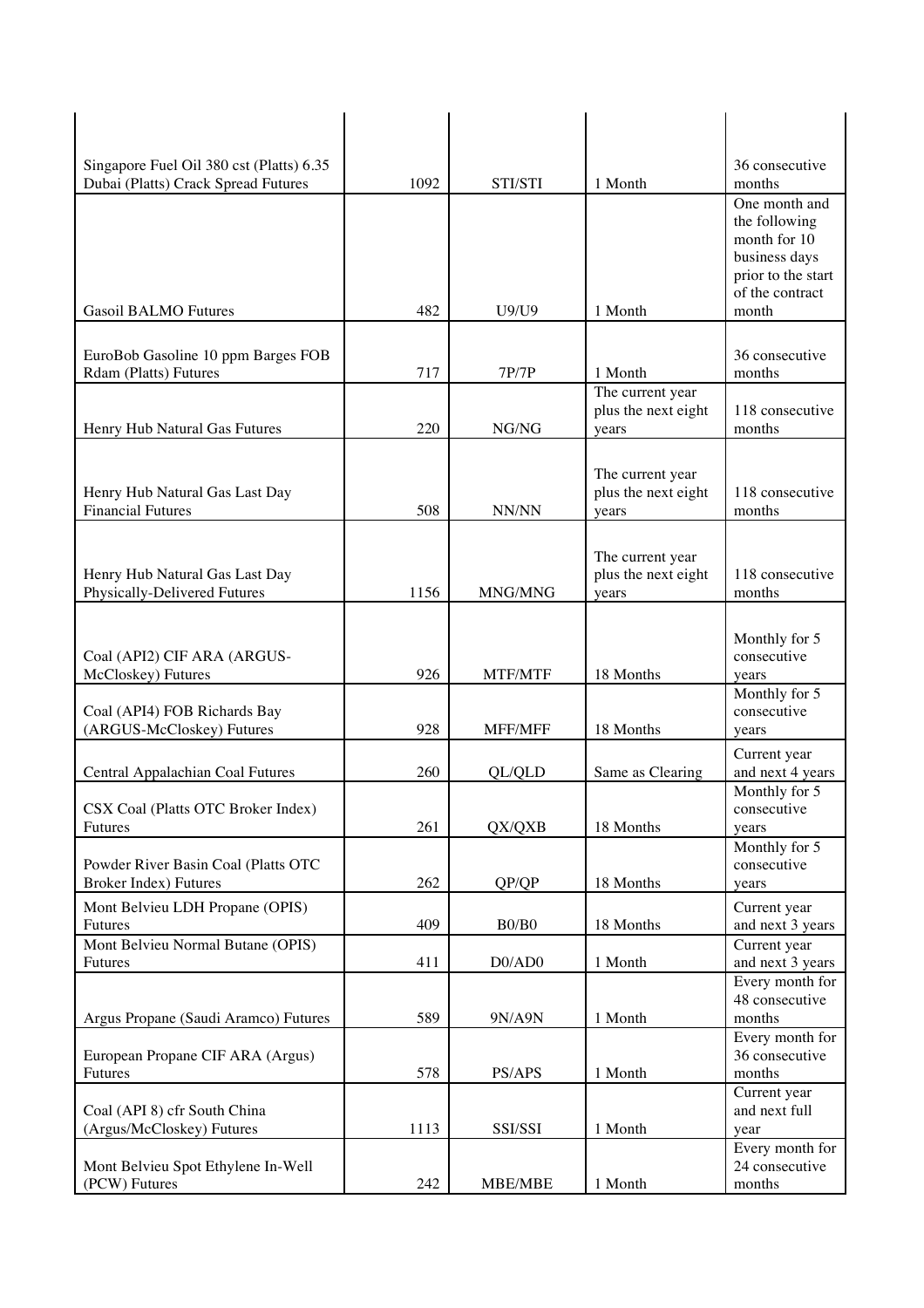| Singapore Fuel Oil 380 cst (Platts) 6.35<br>Dubai (Platts) Crack Spread Futures | 1092 | STI/STI       | 1 Month                                          | 36 consecutive<br>months                                                                                          |
|---------------------------------------------------------------------------------|------|---------------|--------------------------------------------------|-------------------------------------------------------------------------------------------------------------------|
| <b>Gasoil BALMO Futures</b>                                                     | 482  | U9/U9         | 1 Month                                          | One month and<br>the following<br>month for 10<br>business days<br>prior to the start<br>of the contract<br>month |
| EuroBob Gasoline 10 ppm Barges FOB<br>Rdam (Platts) Futures                     | 717  | 7P/7P         | 1 Month                                          | 36 consecutive<br>months                                                                                          |
| Henry Hub Natural Gas Futures                                                   | 220  | ${\rm NG/NG}$ | The current year<br>plus the next eight<br>years | 118 consecutive<br>months                                                                                         |
| Henry Hub Natural Gas Last Day<br><b>Financial Futures</b>                      | 508  | NN/NN         | The current year<br>plus the next eight<br>years | 118 consecutive<br>months                                                                                         |
| Henry Hub Natural Gas Last Day<br>Physically-Delivered Futures                  | 1156 | MNG/MNG       | The current year<br>plus the next eight<br>years | 118 consecutive<br>months                                                                                         |
| Coal (API2) CIF ARA (ARGUS-<br>McCloskey) Futures                               | 926  | MTF/MTF       | 18 Months                                        | Monthly for 5<br>consecutive<br>years                                                                             |
| Coal (API4) FOB Richards Bay<br>(ARGUS-McCloskey) Futures                       | 928  | MFF/MFF       | 18 Months                                        | Monthly for 5<br>consecutive<br>years                                                                             |
| Central Appalachian Coal Futures                                                | 260  | QL/QLD        | Same as Clearing                                 | Current year<br>and next 4 years                                                                                  |
| CSX Coal (Platts OTC Broker Index)<br>Futures                                   | 261  | QX/QXB        | 18 Months                                        | Monthly for 5<br>consecutive<br>years                                                                             |
| Powder River Basin Coal (Platts OTC<br><b>Broker Index) Futures</b>             | 262  | QP/QP         | 18 Months                                        | Monthly for 5<br>consecutive<br>years                                                                             |
| Mont Belvieu LDH Propane (OPIS)<br>Futures                                      | 409  | B0/B0         | 18 Months                                        | Current year<br>and next 3 years                                                                                  |
| Mont Belvieu Normal Butane (OPIS)<br>Futures                                    | 411  | D0/AD0        | 1 Month                                          | Current year<br>and next 3 years<br>Every month for                                                               |
| Argus Propane (Saudi Aramco) Futures                                            | 589  | 9N/A9N        | 1 Month                                          | 48 consecutive<br>months                                                                                          |
| European Propane CIF ARA (Argus)<br>Futures                                     | 578  | PS/APS        | 1 Month                                          | Every month for<br>36 consecutive<br>months                                                                       |
| Coal (API 8) cfr South China<br>(Argus/McCloskey) Futures                       | 1113 | SSI/SSI       | 1 Month                                          | Current year<br>and next full<br>year                                                                             |
| Mont Belvieu Spot Ethylene In-Well                                              |      |               |                                                  | Every month for<br>24 consecutive                                                                                 |
| (PCW) Futures                                                                   | 242  | MBE/MBE       | 1 Month                                          | months                                                                                                            |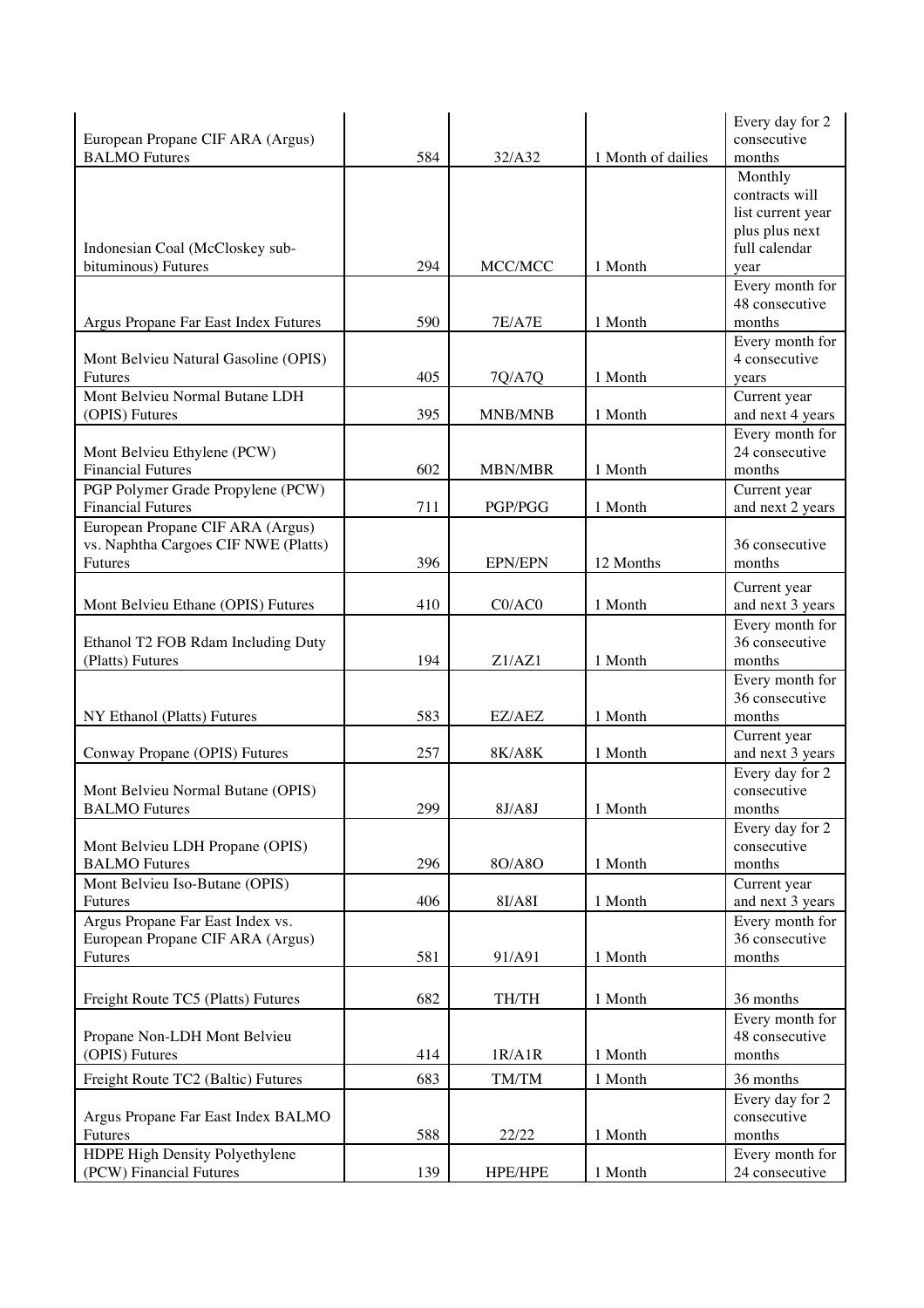| European Propane CIF ARA (Argus)<br><b>BALMO</b> Futures | 584 | 32/A32                                      | 1 Month of dailies | Every day for 2<br>consecutive<br>months |
|----------------------------------------------------------|-----|---------------------------------------------|--------------------|------------------------------------------|
|                                                          |     |                                             |                    | Monthly                                  |
|                                                          |     |                                             |                    | contracts will                           |
|                                                          |     |                                             |                    | list current year<br>plus plus next      |
| Indonesian Coal (McCloskey sub-                          |     |                                             |                    | full calendar                            |
| bituminous) Futures                                      | 294 | MCC/MCC                                     | 1 Month            | year                                     |
|                                                          |     |                                             |                    | Every month for                          |
|                                                          | 590 | <b>7E/A7E</b>                               | 1 Month            | 48 consecutive<br>months                 |
| Argus Propane Far East Index Futures                     |     |                                             |                    | Every month for                          |
| Mont Belvieu Natural Gasoline (OPIS)                     |     |                                             |                    | 4 consecutive                            |
| <b>Futures</b>                                           | 405 | 7Q/A7Q                                      | 1 Month            | years                                    |
| Mont Belvieu Normal Butane LDH                           |     |                                             |                    | Current year                             |
| (OPIS) Futures                                           | 395 | MNB/MNB                                     | 1 Month            | and next 4 years                         |
|                                                          |     |                                             |                    | Every month for<br>24 consecutive        |
| Mont Belvieu Ethylene (PCW)<br><b>Financial Futures</b>  | 602 | MBN/MBR                                     | 1 Month            | months                                   |
| PGP Polymer Grade Propylene (PCW)                        |     |                                             |                    | Current year                             |
| <b>Financial Futures</b>                                 | 711 | PGP/PGG                                     | 1 Month            | and next 2 years                         |
| European Propane CIF ARA (Argus)                         |     |                                             |                    |                                          |
| vs. Naphtha Cargoes CIF NWE (Platts)                     |     |                                             |                    | 36 consecutive                           |
| Futures                                                  | 396 | <b>EPN/EPN</b>                              | 12 Months          | months                                   |
|                                                          |     |                                             |                    | Current year                             |
| Mont Belvieu Ethane (OPIS) Futures                       | 410 | CO/AC0                                      | 1 Month            | and next 3 years<br>Every month for      |
| Ethanol T2 FOB Rdam Including Duty                       |     |                                             |                    | 36 consecutive                           |
| (Platts) Futures                                         | 194 | Z1/AZ1                                      | 1 Month            | months                                   |
|                                                          |     |                                             |                    | Every month for                          |
|                                                          |     |                                             |                    | 36 consecutive                           |
| NY Ethanol (Platts) Futures                              | 583 | EZ/AEZ                                      | 1 Month            | months                                   |
| Conway Propane (OPIS) Futures                            | 257 | 8K/A8K                                      | 1 Month            | Current year<br>and next 3 years         |
|                                                          |     |                                             |                    | Every day for 2                          |
| Mont Belvieu Normal Butane (OPIS)                        |     |                                             |                    | consecutive                              |
| <b>BALMO</b> Futures                                     | 299 | 8J/ASJ                                      | 1 Month            | months                                   |
|                                                          |     |                                             |                    | Every day for 2                          |
| Mont Belvieu LDH Propane (OPIS)<br><b>BALMO</b> Futures  | 296 | 8O/A8O                                      | 1 Month            | consecutive<br>months                    |
| Mont Belvieu Iso-Butane (OPIS)                           |     |                                             |                    | Current year                             |
| <b>Futures</b>                                           | 406 | 8I/A8I                                      | 1 Month            | and next 3 years                         |
| Argus Propane Far East Index vs.                         |     |                                             |                    | Every month for                          |
| European Propane CIF ARA (Argus)                         |     |                                             |                    | 36 consecutive                           |
| Futures                                                  | 581 | 91/A91                                      | 1 Month            | months                                   |
| Freight Route TC5 (Platts) Futures                       | 682 | TH/TH                                       | 1 Month            | 36 months                                |
|                                                          |     |                                             |                    | Every month for                          |
| Propane Non-LDH Mont Belvieu                             |     |                                             |                    | 48 consecutive                           |
| (OPIS) Futures                                           | 414 | 1R/AIR                                      | 1 Month            | months                                   |
| Freight Route TC2 (Baltic) Futures                       | 683 | $\mathrm{T}\mathrm{M}/\mathrm{T}\mathrm{M}$ | 1 Month            | 36 months                                |
|                                                          |     |                                             |                    | Every day for 2                          |
| Argus Propane Far East Index BALMO<br>Futures            | 588 | 22/22                                       | 1 Month            | consecutive<br>months                    |
| HDPE High Density Polyethylene                           |     |                                             |                    | Every month for                          |
| (PCW) Financial Futures                                  | 139 | HPE/HPE                                     | 1 Month            | 24 consecutive                           |